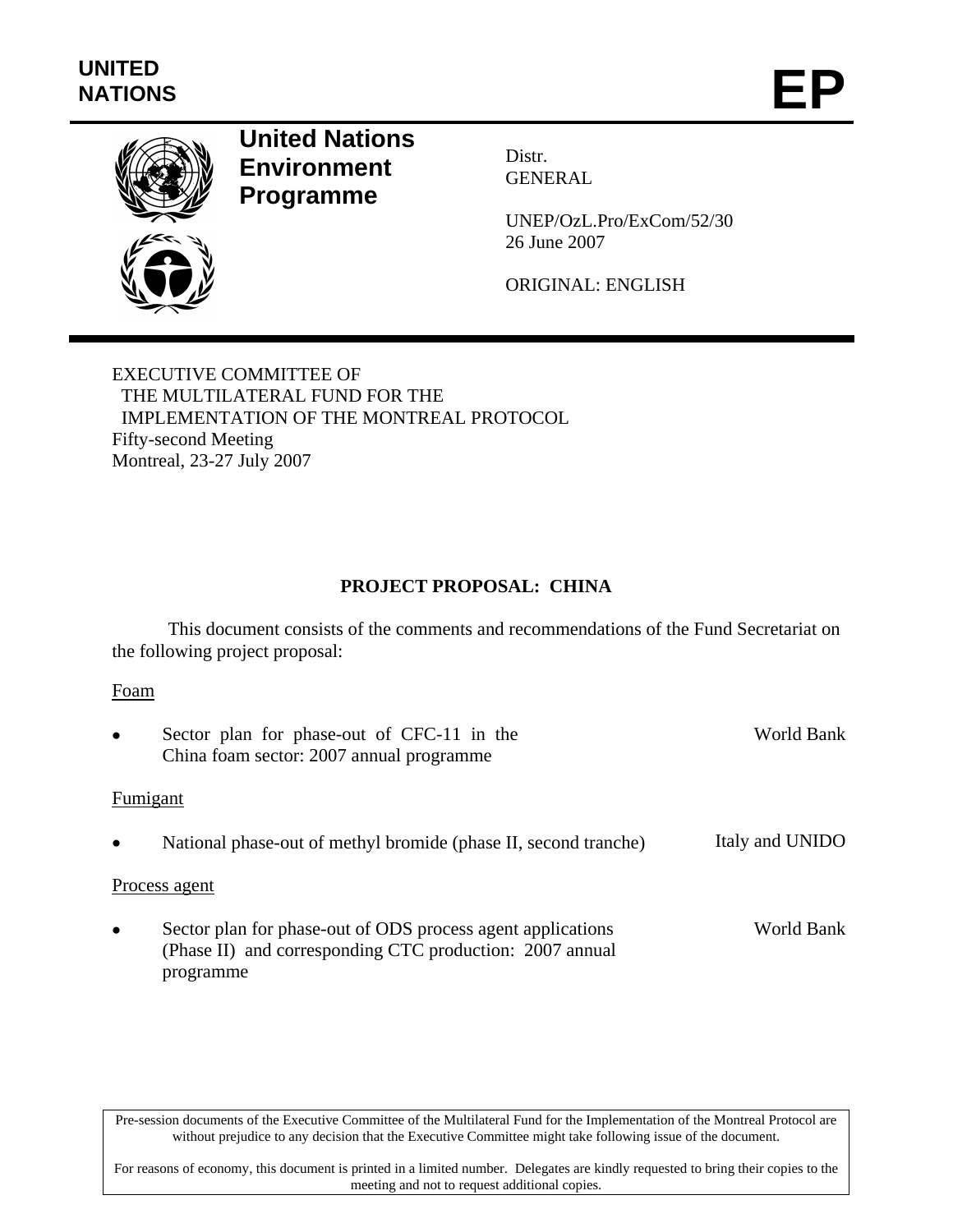

# **United Nations Environment Programme**

Distr. GENERAL

UNEP/OzL.Pro/ExCom/52/30 26 June 2007

ORIGINAL: ENGLISH

EXECUTIVE COMMITTEE OF THE MULTILATERAL FUND FOR THE IMPLEMENTATION OF THE MONTREAL PROTOCOL Fifty-second Meeting Montreal, 23-27 July 2007

# **PROJECT PROPOSAL: CHINA**

 This document consists of the comments and recommendations of the Fund Secretariat on the following project proposal:

## Foam

| $\bullet$ | Sector plan for phase-out of CFC-11 in the<br>China foam sector: 2007 annual programme                                               | World Bank      |
|-----------|--------------------------------------------------------------------------------------------------------------------------------------|-----------------|
| Fumigant  |                                                                                                                                      |                 |
|           | National phase-out of methyl bromide (phase II, second tranche)                                                                      | Italy and UNIDO |
|           | Process agent                                                                                                                        |                 |
| $\bullet$ | Sector plan for phase-out of ODS process agent applications<br>(Phase II) and corresponding CTC production: 2007 annual<br>programme | World Bank      |

Pre-session documents of the Executive Committee of the Multilateral Fund for the Implementation of the Montreal Protocol are without prejudice to any decision that the Executive Committee might take following issue of the document.

For reasons of economy, this document is printed in a limited number. Delegates are kindly requested to bring their copies to the meeting and not to request additional copies.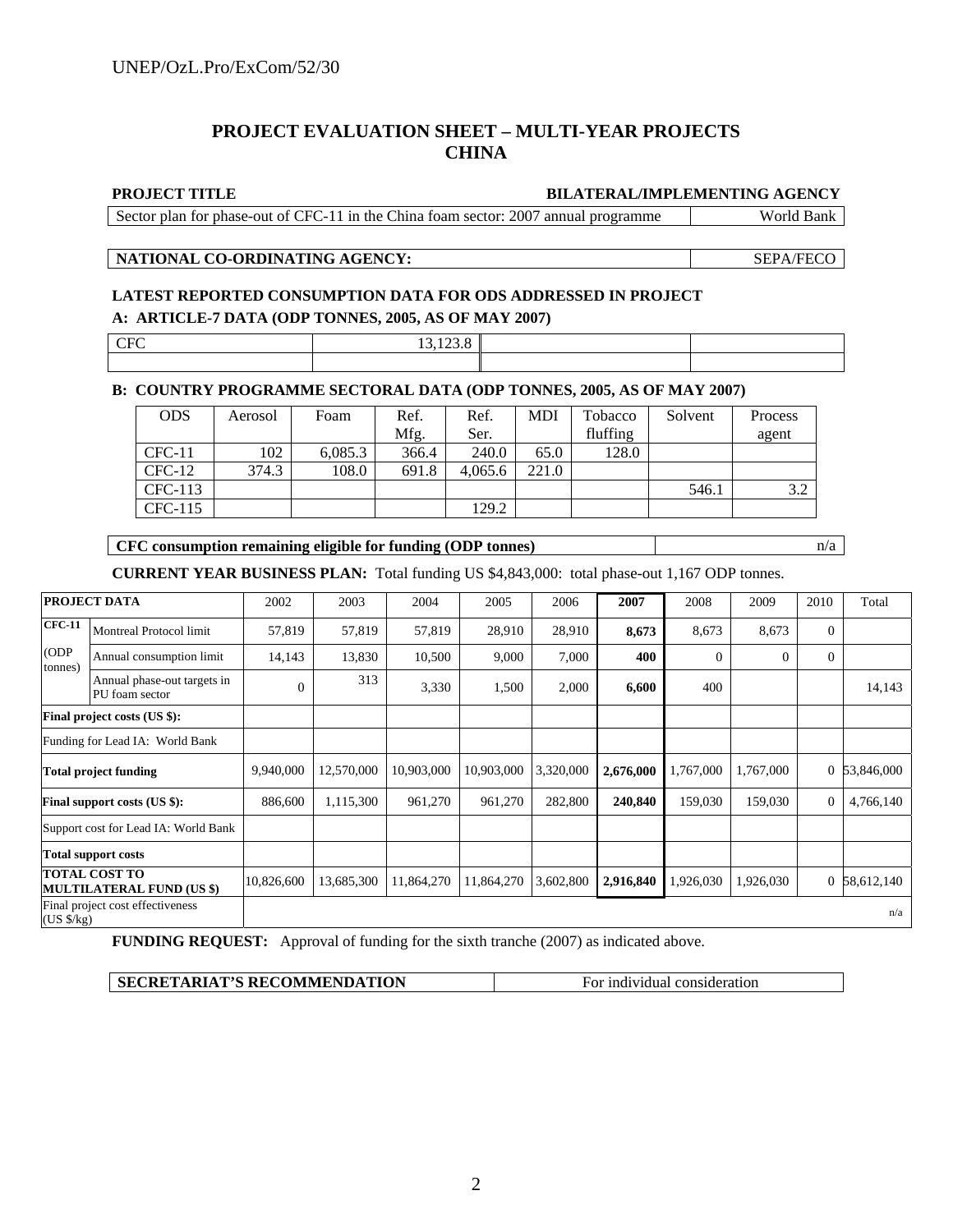## **PROJECT EVALUATION SHEET – MULTI-YEAR PROJECTS CHINA**

#### **PROJECT TITLE BILATERAL/IMPLEMENTING AGENCY**

Sector plan for phase-out of CFC-11 in the China foam sector: 2007 annual programme World Bank

## **NATIONAL CO-ORDINATING AGENCY:** SEPA/FECO

## **LATEST REPORTED CONSUMPTION DATA FOR ODS ADDRESSED IN PROJECT A: ARTICLE-7 DATA (ODP TONNES, 2005, AS OF MAY 2007)**

| $\sim$ | __ |  |
|--------|----|--|
|        |    |  |

### **B: COUNTRY PROGRAMME SECTORAL DATA (ODP TONNES, 2005, AS OF MAY 2007)**

| <b>ODS</b> | Aerosol | Foam    | Ref.  | Ref.    | MDI   | Tobacco  | Solvent | <b>Process</b> |
|------------|---------|---------|-------|---------|-------|----------|---------|----------------|
|            |         |         | Mfg.  | Ser.    |       | fluffing |         | agent          |
| $CFC-11$   | 102     | 6,085.3 | 366.4 | 240.0   | 65.0  | 128.0    |         |                |
| $CFC-12$   | 374.3   | 108.0   | 691.8 | 4,065.6 | 221.0 |          |         |                |
| CFC-113    |         |         |       |         |       |          | 546.1   | 3.2            |
| CFC-115    |         |         |       | 129.2   |       |          |         |                |

### **CFC consumption remaining eligible for funding (ODP tonnes)** n/a

**CURRENT YEAR BUSINESS PLAN:** Total funding US \$4,843,000: total phase-out 1,167 ODP tonnes.

| PROJECT DATA                                             |                                               | 2002         | 2003       | 2004       | 2005       | 2006      | 2007      | 2008           | 2009           | 2010     | Total        |
|----------------------------------------------------------|-----------------------------------------------|--------------|------------|------------|------------|-----------|-----------|----------------|----------------|----------|--------------|
| <b>CFC-11</b>                                            | Montreal Protocol limit                       | 57,819       | 57,819     | 57,819     | 28,910     | 28,910    | 8,673     | 8,673          | 8,673          | $\Omega$ |              |
| (ODP<br>tonnes)                                          | Annual consumption limit                      | 14,143       | 13,830     | 10,500     | 9,000      | 7,000     | 400       | $\overline{0}$ | $\overline{0}$ | $\theta$ |              |
|                                                          | Annual phase-out targets in<br>PU foam sector | $\mathbf{0}$ | 313        | 3,330      | 1,500      | 2,000     | 6,600     | 400            |                |          | 14,143       |
| Final project costs (US \$):                             |                                               |              |            |            |            |           |           |                |                |          |              |
|                                                          | Funding for Lead IA: World Bank               |              |            |            |            |           |           |                |                |          |              |
| <b>Total project funding</b>                             |                                               | 9,940,000    | 12,570,000 | 10,903,000 | 10,903,000 | 3,320,000 | 2,676,000 | 1,767,000      | 1,767,000      |          | 0 53,846,000 |
|                                                          | <b>Final support costs (US \$):</b>           | 886,600      | 1,115,300  | 961,270    | 961,270    | 282,800   | 240,840   | 159,030        | 159,030        | $\theta$ | 4,766,140    |
|                                                          | Support cost for Lead IA: World Bank          |              |            |            |            |           |           |                |                |          |              |
|                                                          | <b>Total support costs</b>                    |              |            |            |            |           |           |                |                |          |              |
| <b>TOTAL COST TO</b><br><b>MULTILATERAL FUND (US \$)</b> |                                               | 10,826,600   | 13,685,300 | 11,864,270 | 11,864,270 | 3,602,800 | 2,916,840 | 926,030        | 1,926,030      |          | 0 58,612,140 |
| Final project cost effectiveness<br>(US \$/kg)           |                                               |              |            |            |            |           | n/a       |                |                |          |              |

**FUNDING REQUEST:** Approval of funding for the sixth tranche (2007) as indicated above.

| <b>SECRETARIAT'S RECOMMENDATION</b> | For individual consideration |
|-------------------------------------|------------------------------|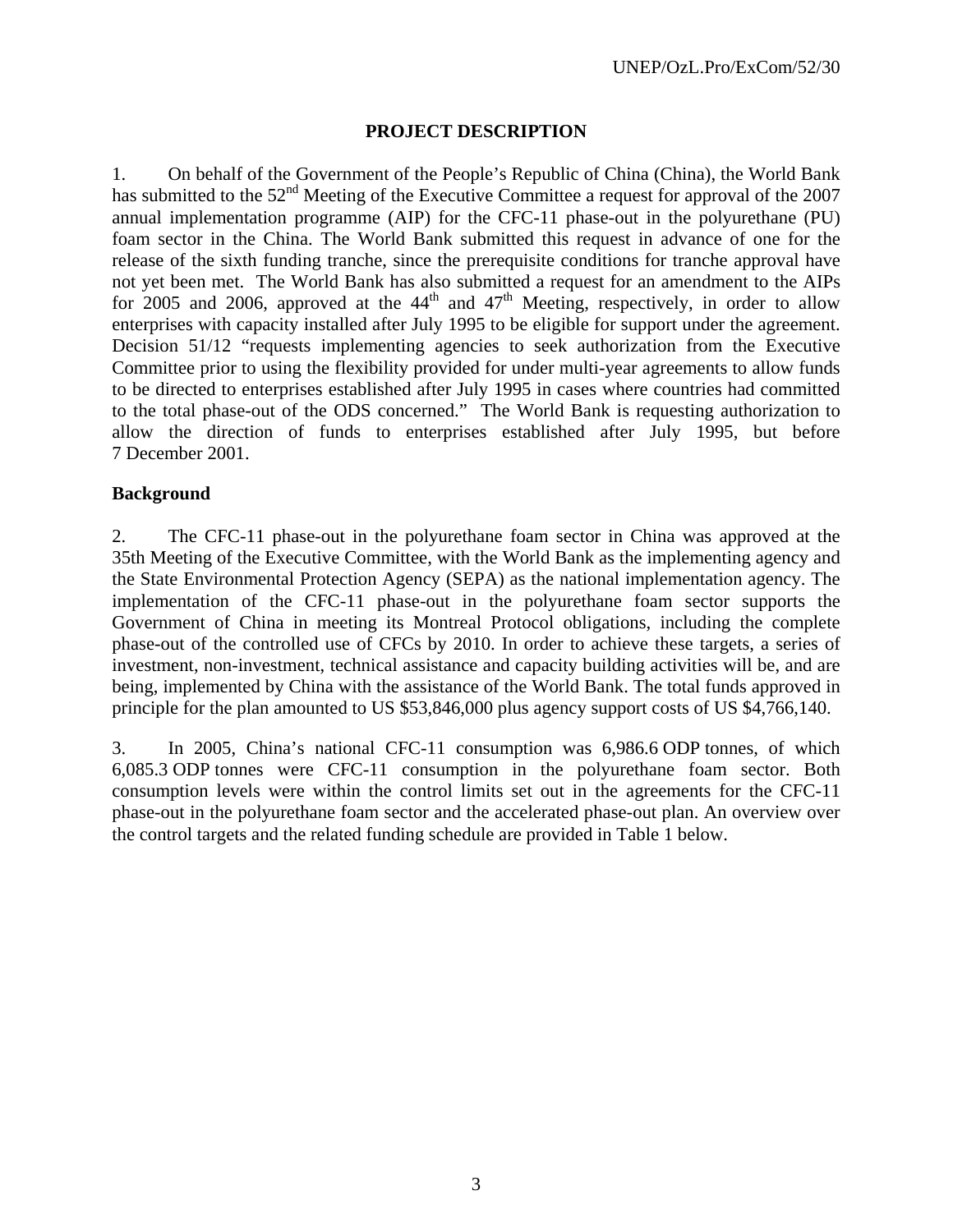## **PROJECT DESCRIPTION**

1. On behalf of the Government of the People's Republic of China (China), the World Bank has submitted to the  $52<sup>nd</sup>$  Meeting of the Executive Committee a request for approval of the 2007 annual implementation programme (AIP) for the CFC-11 phase-out in the polyurethane (PU) foam sector in the China. The World Bank submitted this request in advance of one for the release of the sixth funding tranche, since the prerequisite conditions for tranche approval have not yet been met. The World Bank has also submitted a request for an amendment to the AIPs for 2005 and 2006, approved at the  $44<sup>th</sup>$  and  $47<sup>th</sup>$  Meeting, respectively, in order to allow enterprises with capacity installed after July 1995 to be eligible for support under the agreement. Decision 51/12 "requests implementing agencies to seek authorization from the Executive Committee prior to using the flexibility provided for under multi-year agreements to allow funds to be directed to enterprises established after July 1995 in cases where countries had committed to the total phase-out of the ODS concerned." The World Bank is requesting authorization to allow the direction of funds to enterprises established after July 1995, but before 7 December 2001.

## **Background**

2. The CFC-11 phase-out in the polyurethane foam sector in China was approved at the 35th Meeting of the Executive Committee, with the World Bank as the implementing agency and the State Environmental Protection Agency (SEPA) as the national implementation agency. The implementation of the CFC-11 phase-out in the polyurethane foam sector supports the Government of China in meeting its Montreal Protocol obligations, including the complete phase-out of the controlled use of CFCs by 2010. In order to achieve these targets, a series of investment, non-investment, technical assistance and capacity building activities will be, and are being, implemented by China with the assistance of the World Bank. The total funds approved in principle for the plan amounted to US \$53,846,000 plus agency support costs of US \$4,766,140.

3. In 2005, China's national CFC-11 consumption was 6,986.6 ODP tonnes, of which 6,085.3 ODP tonnes were CFC-11 consumption in the polyurethane foam sector. Both consumption levels were within the control limits set out in the agreements for the CFC-11 phase-out in the polyurethane foam sector and the accelerated phase-out plan. An overview over the control targets and the related funding schedule are provided in Table 1 below.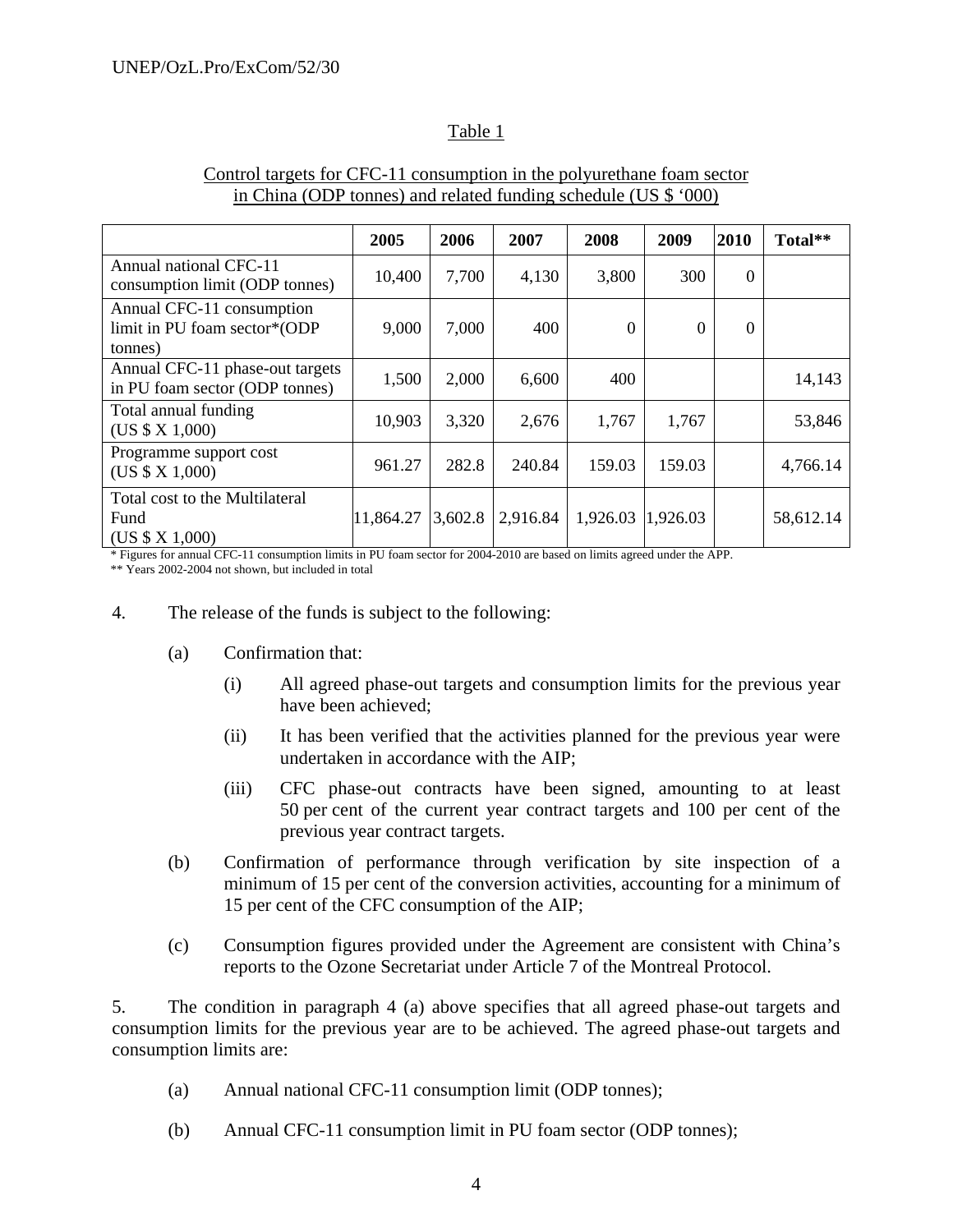## Table 1

|                                                                      | 2005      | 2006    | 2007     | 2008              | 2009     | 2010     | Total**   |
|----------------------------------------------------------------------|-----------|---------|----------|-------------------|----------|----------|-----------|
|                                                                      |           |         |          |                   |          |          |           |
| Annual national CFC-11<br>consumption limit (ODP tonnes)             | 10,400    | 7,700   | 4,130    | 3,800             | 300      | $\Omega$ |           |
| Annual CFC-11 consumption<br>limit in PU foam sector*(ODP<br>tonnes) | 9,000     | 7,000   | 400      | $\Omega$          | $\theta$ | $\Omega$ |           |
| Annual CFC-11 phase-out targets<br>in PU foam sector (ODP tonnes)    | 1,500     | 2,000   | 6,600    | 400               |          |          | 14,143    |
| Total annual funding<br>(US \$ X 1,000)                              | 10,903    | 3,320   | 2,676    | 1,767             | 1,767    |          | 53,846    |
| Programme support cost<br>(US \$ X 1,000)                            | 961.27    | 282.8   | 240.84   | 159.03            | 159.03   |          | 4,766.14  |
| Total cost to the Multilateral<br>Fund<br>(US \$ X 1,000)            | 11,864.27 | 3,602.8 | 2,916.84 | 1,926.03 1,926.03 |          |          | 58,612.14 |

## Control targets for CFC-11 consumption in the polyurethane foam sector in China (ODP tonnes) and related funding schedule (US \$ '000)

\* Figures for annual CFC-11 consumption limits in PU foam sector for 2004-2010 are based on limits agreed under the APP.

\*\* Years 2002-2004 not shown, but included in total

- 4. The release of the funds is subject to the following:
	- (a) Confirmation that:
		- (i) All agreed phase-out targets and consumption limits for the previous year have been achieved;
		- (ii) It has been verified that the activities planned for the previous year were undertaken in accordance with the AIP;
		- (iii) CFC phase-out contracts have been signed, amounting to at least 50 per cent of the current year contract targets and 100 per cent of the previous year contract targets.
	- (b) Confirmation of performance through verification by site inspection of a minimum of 15 per cent of the conversion activities, accounting for a minimum of 15 per cent of the CFC consumption of the AIP;
	- (c) Consumption figures provided under the Agreement are consistent with China's reports to the Ozone Secretariat under Article 7 of the Montreal Protocol.

5. The condition in paragraph 4 (a) above specifies that all agreed phase-out targets and consumption limits for the previous year are to be achieved. The agreed phase-out targets and consumption limits are:

- (a) Annual national CFC-11 consumption limit (ODP tonnes);
- (b) Annual CFC-11 consumption limit in PU foam sector (ODP tonnes);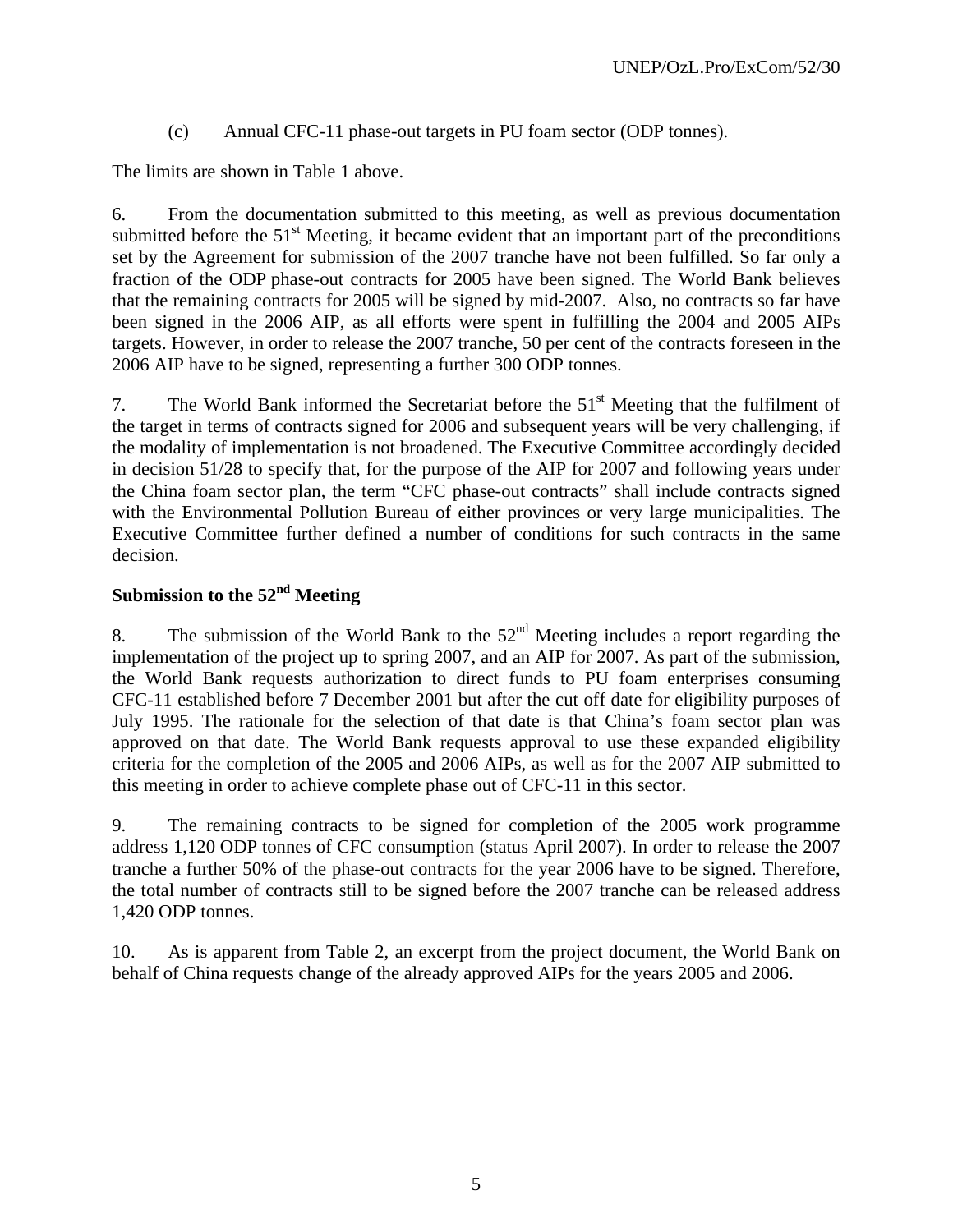(c) Annual CFC-11 phase-out targets in PU foam sector (ODP tonnes).

The limits are shown in Table 1 above.

6. From the documentation submitted to this meeting, as well as previous documentation submitted before the  $51<sup>st</sup>$  Meeting, it became evident that an important part of the preconditions set by the Agreement for submission of the 2007 tranche have not been fulfilled. So far only a fraction of the ODP phase-out contracts for 2005 have been signed. The World Bank believes that the remaining contracts for 2005 will be signed by mid-2007. Also, no contracts so far have been signed in the 2006 AIP, as all efforts were spent in fulfilling the 2004 and 2005 AIPs targets. However, in order to release the 2007 tranche, 50 per cent of the contracts foreseen in the 2006 AIP have to be signed, representing a further 300 ODP tonnes.

7. The World Bank informed the Secretariat before the  $51<sup>st</sup>$  Meeting that the fulfilment of the target in terms of contracts signed for 2006 and subsequent years will be very challenging, if the modality of implementation is not broadened. The Executive Committee accordingly decided in decision 51/28 to specify that, for the purpose of the AIP for 2007 and following years under the China foam sector plan, the term "CFC phase-out contracts" shall include contracts signed with the Environmental Pollution Bureau of either provinces or very large municipalities. The Executive Committee further defined a number of conditions for such contracts in the same decision.

# **Submission to the 52nd Meeting**

8. The submission of the World Bank to the  $52<sup>nd</sup>$  Meeting includes a report regarding the implementation of the project up to spring 2007, and an AIP for 2007. As part of the submission, the World Bank requests authorization to direct funds to PU foam enterprises consuming CFC-11 established before 7 December 2001 but after the cut off date for eligibility purposes of July 1995. The rationale for the selection of that date is that China's foam sector plan was approved on that date. The World Bank requests approval to use these expanded eligibility criteria for the completion of the 2005 and 2006 AIPs, as well as for the 2007 AIP submitted to this meeting in order to achieve complete phase out of CFC-11 in this sector.

9. The remaining contracts to be signed for completion of the 2005 work programme address 1,120 ODP tonnes of CFC consumption (status April 2007). In order to release the 2007 tranche a further 50% of the phase-out contracts for the year 2006 have to be signed. Therefore, the total number of contracts still to be signed before the 2007 tranche can be released address 1,420 ODP tonnes.

10. As is apparent from Table 2, an excerpt from the project document, the World Bank on behalf of China requests change of the already approved AIPs for the years 2005 and 2006.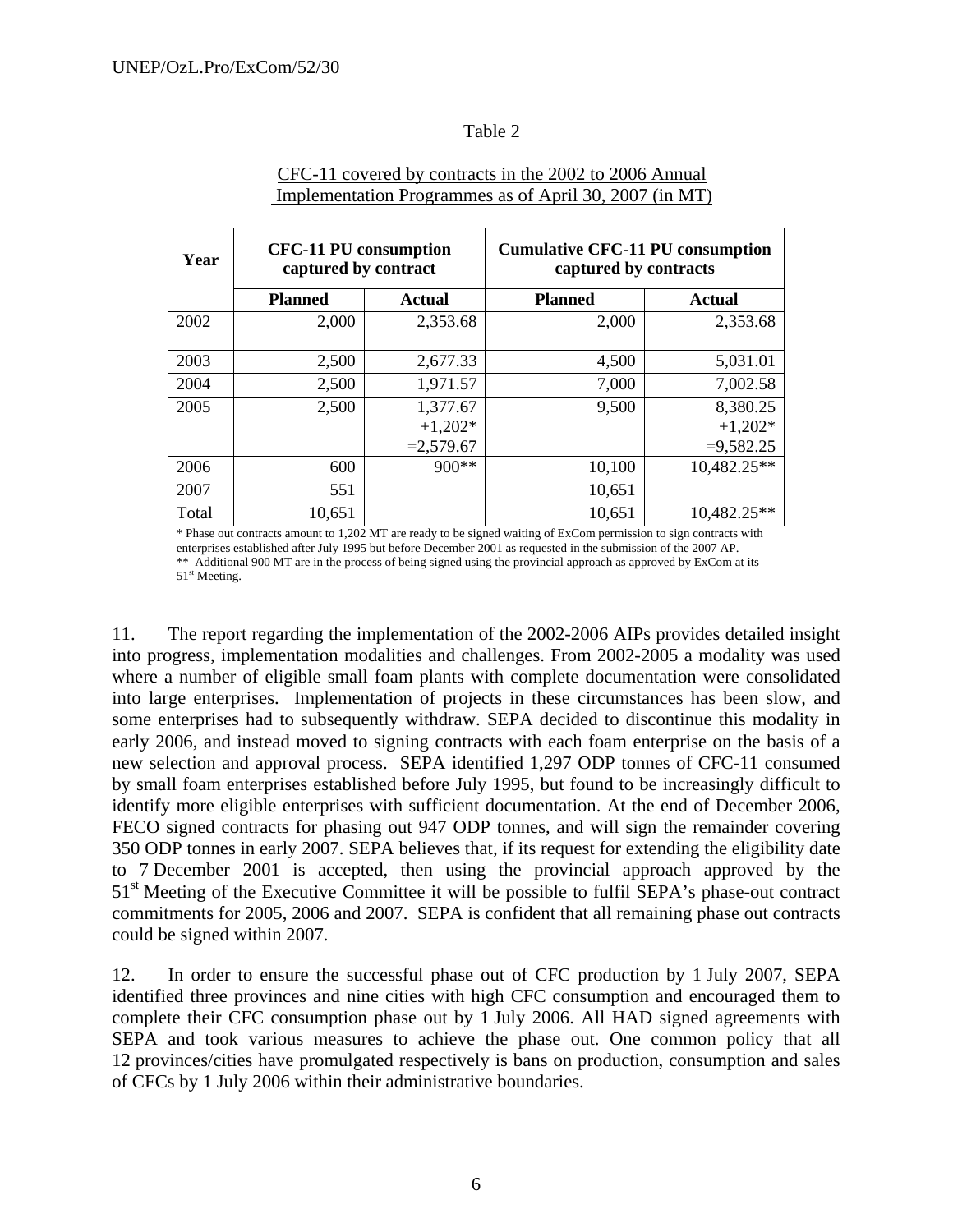## Table 2

| Year  | <b>CFC-11 PU</b> consumption<br>captured by contract |               | <b>Cumulative CFC-11 PU consumption</b><br>captured by contracts |               |  |  |  |  |
|-------|------------------------------------------------------|---------------|------------------------------------------------------------------|---------------|--|--|--|--|
|       | <b>Planned</b>                                       | <b>Actual</b> | <b>Planned</b>                                                   | <b>Actual</b> |  |  |  |  |
| 2002  | 2,000                                                | 2,353.68      | 2,000                                                            | 2,353.68      |  |  |  |  |
| 2003  | 2,500                                                | 2,677.33      | 4,500                                                            | 5,031.01      |  |  |  |  |
| 2004  | 2,500                                                | 1,971.57      | 7,000                                                            | 7,002.58      |  |  |  |  |
| 2005  | 2,500                                                | 1,377.67      | 9,500                                                            | 8,380.25      |  |  |  |  |
|       |                                                      | $+1,202*$     |                                                                  | $+1,202*$     |  |  |  |  |
|       |                                                      | $=2,579.67$   |                                                                  | $=9,582.25$   |  |  |  |  |
| 2006  | 600                                                  | $900**$       | 10,100                                                           | 10,482.25**   |  |  |  |  |
| 2007  | 551                                                  |               | 10,651                                                           |               |  |  |  |  |
| Total | 10,651                                               |               | 10,651                                                           | 10,482.25**   |  |  |  |  |

## CFC-11 covered by contracts in the 2002 to 2006 Annual Implementation Programmes as of April 30, 2007 (in MT)

\* Phase out contracts amount to 1,202 MT are ready to be signed waiting of ExCom permission to sign contracts with enterprises established after July 1995 but before December 2001 as requested in the submission of the 2007 AP. \*\* Additional 900 MT are in the process of being signed using the provincial approach as approved by ExCom at its 51<sup>st</sup> Meeting.

11. The report regarding the implementation of the 2002-2006 AIPs provides detailed insight into progress, implementation modalities and challenges. From 2002-2005 a modality was used where a number of eligible small foam plants with complete documentation were consolidated into large enterprises. Implementation of projects in these circumstances has been slow, and some enterprises had to subsequently withdraw. SEPA decided to discontinue this modality in early 2006, and instead moved to signing contracts with each foam enterprise on the basis of a new selection and approval process. SEPA identified 1,297 ODP tonnes of CFC-11 consumed by small foam enterprises established before July 1995, but found to be increasingly difficult to identify more eligible enterprises with sufficient documentation. At the end of December 2006, FECO signed contracts for phasing out 947 ODP tonnes, and will sign the remainder covering 350 ODP tonnes in early 2007. SEPA believes that, if its request for extending the eligibility date to 7 December 2001 is accepted, then using the provincial approach approved by the 51<sup>st</sup> Meeting of the Executive Committee it will be possible to fulfil SEPA's phase-out contract commitments for 2005, 2006 and 2007. SEPA is confident that all remaining phase out contracts could be signed within 2007.

12. In order to ensure the successful phase out of CFC production by 1 July 2007, SEPA identified three provinces and nine cities with high CFC consumption and encouraged them to complete their CFC consumption phase out by 1 July 2006. All HAD signed agreements with SEPA and took various measures to achieve the phase out. One common policy that all 12 provinces/cities have promulgated respectively is bans on production, consumption and sales of CFCs by 1 July 2006 within their administrative boundaries.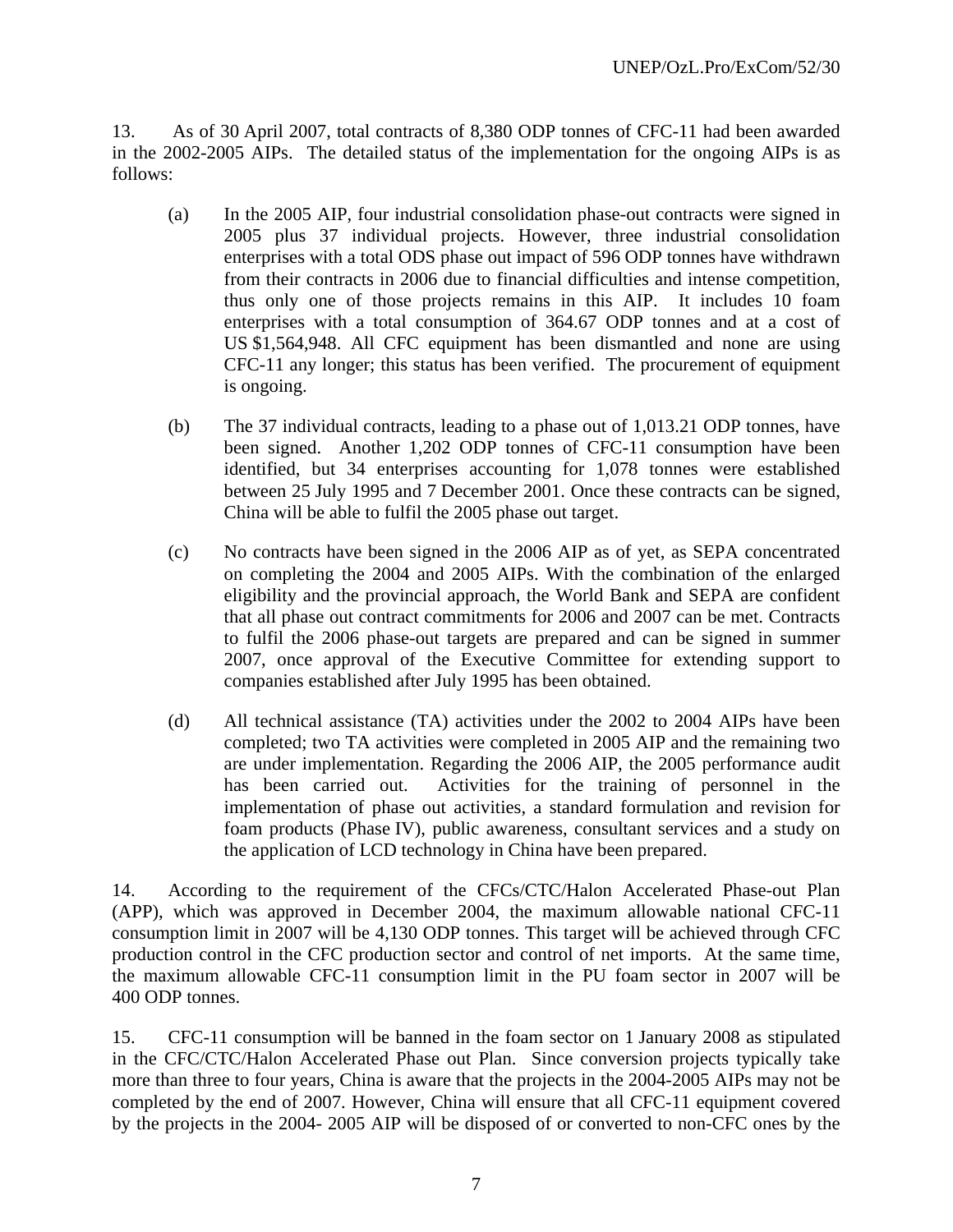13. As of 30 April 2007, total contracts of 8,380 ODP tonnes of CFC-11 had been awarded in the 2002-2005 AIPs. The detailed status of the implementation for the ongoing AIPs is as follows:

- (a) In the 2005 AIP, four industrial consolidation phase-out contracts were signed in 2005 plus 37 individual projects. However, three industrial consolidation enterprises with a total ODS phase out impact of 596 ODP tonnes have withdrawn from their contracts in 2006 due to financial difficulties and intense competition, thus only one of those projects remains in this AIP. It includes 10 foam enterprises with a total consumption of 364.67 ODP tonnes and at a cost of US \$1,564,948. All CFC equipment has been dismantled and none are using CFC-11 any longer; this status has been verified. The procurement of equipment is ongoing.
- (b) The 37 individual contracts, leading to a phase out of 1,013.21 ODP tonnes, have been signed. Another 1,202 ODP tonnes of CFC-11 consumption have been identified, but 34 enterprises accounting for 1,078 tonnes were established between 25 July 1995 and 7 December 2001. Once these contracts can be signed, China will be able to fulfil the 2005 phase out target.
- (c) No contracts have been signed in the 2006 AIP as of yet, as SEPA concentrated on completing the 2004 and 2005 AIPs. With the combination of the enlarged eligibility and the provincial approach, the World Bank and SEPA are confident that all phase out contract commitments for 2006 and 2007 can be met. Contracts to fulfil the 2006 phase-out targets are prepared and can be signed in summer 2007, once approval of the Executive Committee for extending support to companies established after July 1995 has been obtained.
- (d) All technical assistance (TA) activities under the 2002 to 2004 AIPs have been completed; two TA activities were completed in 2005 AIP and the remaining two are under implementation. Regarding the 2006 AIP, the 2005 performance audit has been carried out. Activities for the training of personnel in the implementation of phase out activities, a standard formulation and revision for foam products (Phase IV), public awareness, consultant services and a study on the application of LCD technology in China have been prepared.

14. According to the requirement of the CFCs/CTC/Halon Accelerated Phase-out Plan (APP), which was approved in December 2004, the maximum allowable national CFC-11 consumption limit in 2007 will be 4,130 ODP tonnes. This target will be achieved through CFC production control in the CFC production sector and control of net imports. At the same time, the maximum allowable CFC-11 consumption limit in the PU foam sector in 2007 will be 400 ODP tonnes.

15. CFC-11 consumption will be banned in the foam sector on 1 January 2008 as stipulated in the CFC/CTC/Halon Accelerated Phase out Plan. Since conversion projects typically take more than three to four years, China is aware that the projects in the 2004-2005 AIPs may not be completed by the end of 2007. However, China will ensure that all CFC-11 equipment covered by the projects in the 2004- 2005 AIP will be disposed of or converted to non-CFC ones by the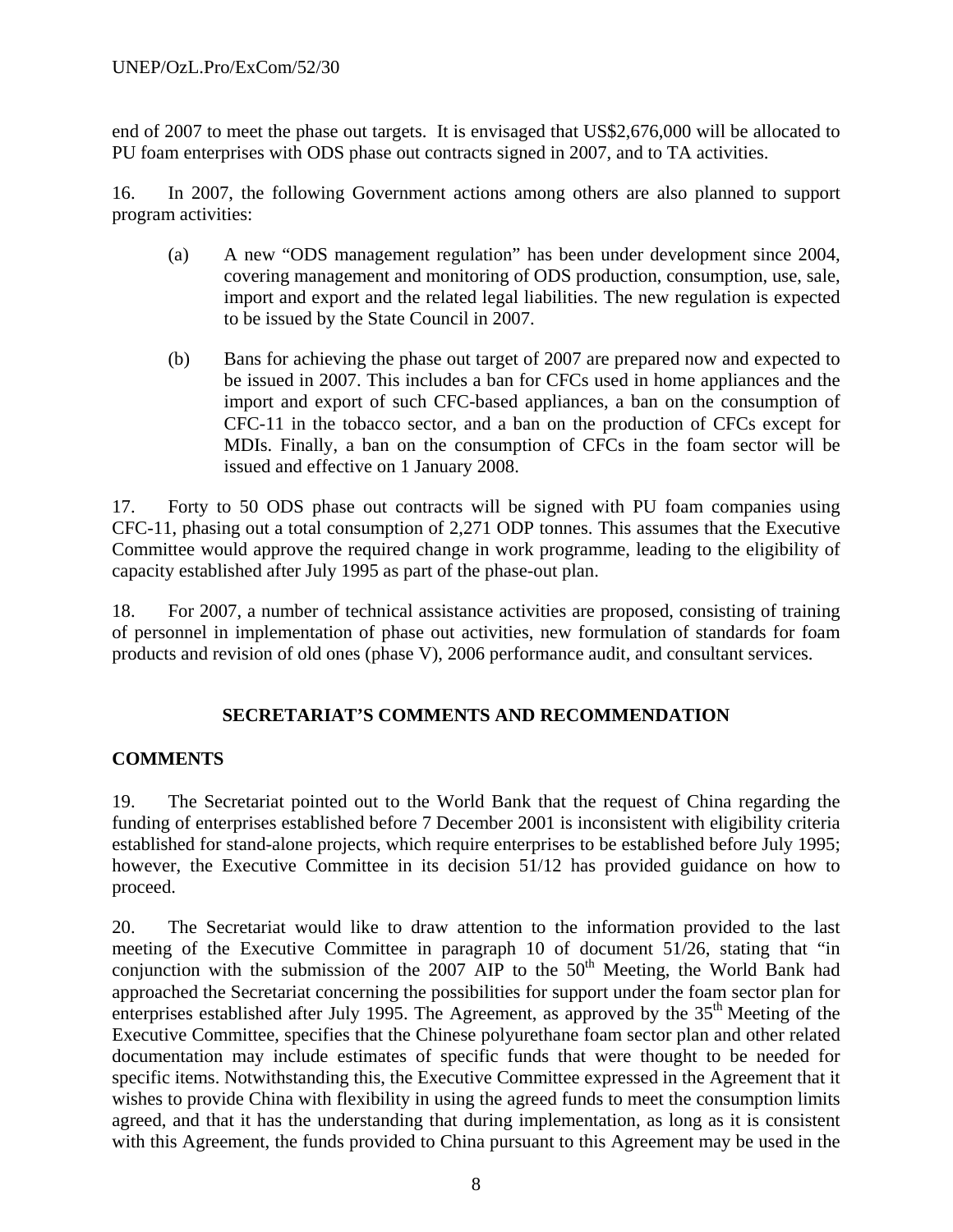end of 2007 to meet the phase out targets. It is envisaged that US\$2,676,000 will be allocated to PU foam enterprises with ODS phase out contracts signed in 2007, and to TA activities.

16. In 2007, the following Government actions among others are also planned to support program activities:

- (a) A new "ODS management regulation" has been under development since 2004, covering management and monitoring of ODS production, consumption, use, sale, import and export and the related legal liabilities. The new regulation is expected to be issued by the State Council in 2007.
- (b) Bans for achieving the phase out target of 2007 are prepared now and expected to be issued in 2007. This includes a ban for CFCs used in home appliances and the import and export of such CFC-based appliances, a ban on the consumption of CFC-11 in the tobacco sector, and a ban on the production of CFCs except for MDIs. Finally, a ban on the consumption of CFCs in the foam sector will be issued and effective on 1 January 2008.

17. Forty to 50 ODS phase out contracts will be signed with PU foam companies using CFC-11, phasing out a total consumption of 2,271 ODP tonnes. This assumes that the Executive Committee would approve the required change in work programme, leading to the eligibility of capacity established after July 1995 as part of the phase-out plan.

18. For 2007, a number of technical assistance activities are proposed, consisting of training of personnel in implementation of phase out activities, new formulation of standards for foam products and revision of old ones (phase V), 2006 performance audit, and consultant services.

## **SECRETARIAT'S COMMENTS AND RECOMMENDATION**

## **COMMENTS**

19. The Secretariat pointed out to the World Bank that the request of China regarding the funding of enterprises established before 7 December 2001 is inconsistent with eligibility criteria established for stand-alone projects, which require enterprises to be established before July 1995; however, the Executive Committee in its decision 51/12 has provided guidance on how to proceed.

20. The Secretariat would like to draw attention to the information provided to the last meeting of the Executive Committee in paragraph 10 of document 51/26, stating that "in conjunction with the submission of the  $2007$  AIP to the  $50<sup>th</sup>$  Meeting, the World Bank had approached the Secretariat concerning the possibilities for support under the foam sector plan for enterprises established after July 1995. The Agreement, as approved by the 35<sup>th</sup> Meeting of the Executive Committee, specifies that the Chinese polyurethane foam sector plan and other related documentation may include estimates of specific funds that were thought to be needed for specific items. Notwithstanding this, the Executive Committee expressed in the Agreement that it wishes to provide China with flexibility in using the agreed funds to meet the consumption limits agreed, and that it has the understanding that during implementation, as long as it is consistent with this Agreement, the funds provided to China pursuant to this Agreement may be used in the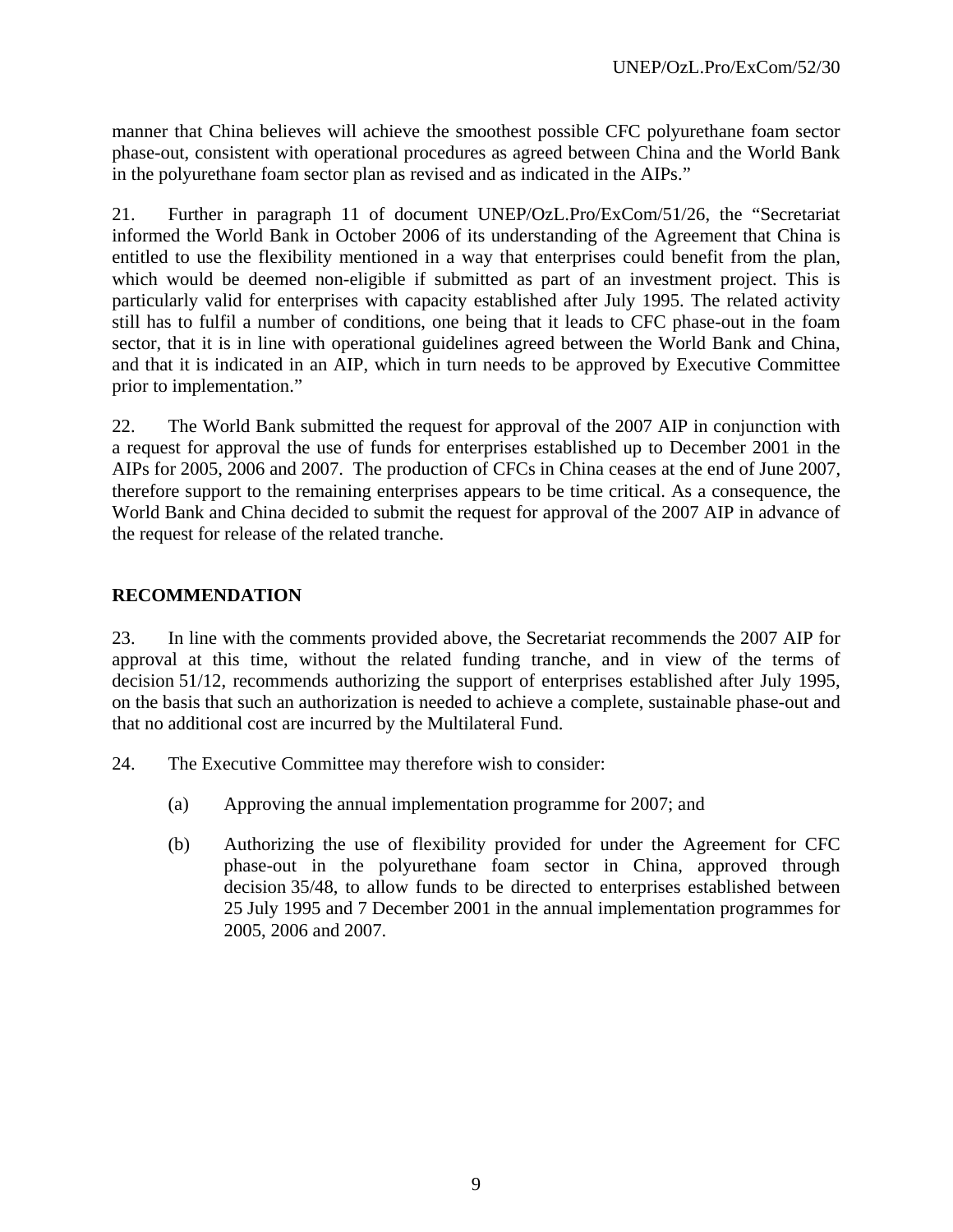manner that China believes will achieve the smoothest possible CFC polyurethane foam sector phase-out, consistent with operational procedures as agreed between China and the World Bank in the polyurethane foam sector plan as revised and as indicated in the AIPs."

21. Further in paragraph 11 of document UNEP/OzL.Pro/ExCom/51/26, the "Secretariat informed the World Bank in October 2006 of its understanding of the Agreement that China is entitled to use the flexibility mentioned in a way that enterprises could benefit from the plan, which would be deemed non-eligible if submitted as part of an investment project. This is particularly valid for enterprises with capacity established after July 1995. The related activity still has to fulfil a number of conditions, one being that it leads to CFC phase-out in the foam sector, that it is in line with operational guidelines agreed between the World Bank and China, and that it is indicated in an AIP, which in turn needs to be approved by Executive Committee prior to implementation."

22. The World Bank submitted the request for approval of the 2007 AIP in conjunction with a request for approval the use of funds for enterprises established up to December 2001 in the AIPs for 2005, 2006 and 2007. The production of CFCs in China ceases at the end of June 2007, therefore support to the remaining enterprises appears to be time critical. As a consequence, the World Bank and China decided to submit the request for approval of the 2007 AIP in advance of the request for release of the related tranche.

## **RECOMMENDATION**

23. In line with the comments provided above, the Secretariat recommends the 2007 AIP for approval at this time, without the related funding tranche, and in view of the terms of decision 51/12, recommends authorizing the support of enterprises established after July 1995, on the basis that such an authorization is needed to achieve a complete, sustainable phase-out and that no additional cost are incurred by the Multilateral Fund.

- 24. The Executive Committee may therefore wish to consider:
	- (a) Approving the annual implementation programme for 2007; and
	- (b) Authorizing the use of flexibility provided for under the Agreement for CFC phase-out in the polyurethane foam sector in China, approved through decision 35/48, to allow funds to be directed to enterprises established between 25 July 1995 and 7 December 2001 in the annual implementation programmes for 2005, 2006 and 2007.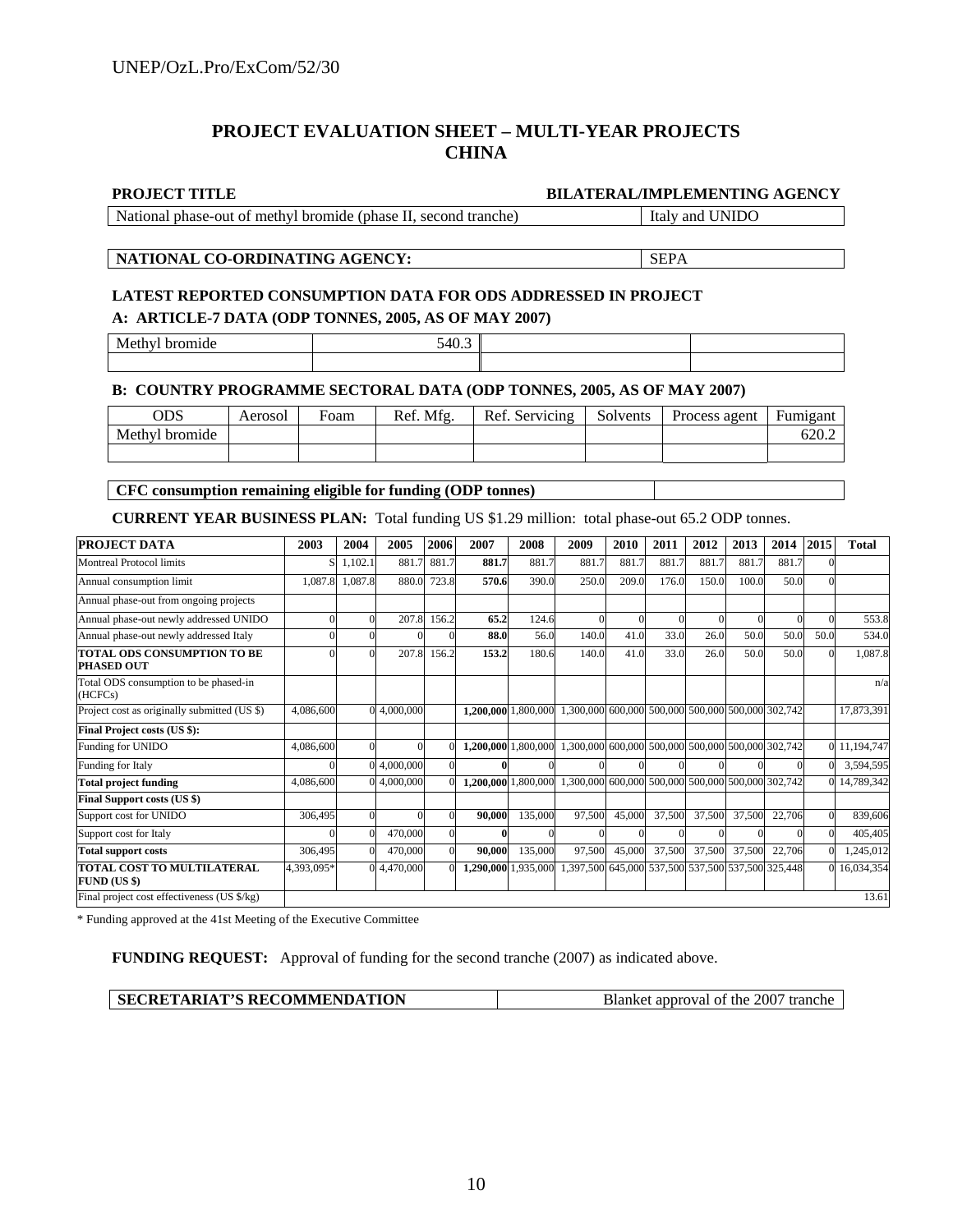## **PROJECT EVALUATION SHEET – MULTI-YEAR PROJECTS CHINA**

#### **PROJECT TITLE BILATERAL/IMPLEMENTING AGENCY**

National phase-out of methyl bromide (phase II, second tranche) Italy and UNIDO

#### **NATIONAL CO-ORDINATING AGENCY:** SEPA

## **LATEST REPORTED CONSUMPTION DATA FOR ODS ADDRESSED IN PROJECT A: ARTICLE-7 DATA (ODP TONNES, 2005, AS OF MAY 2007)**

Methyl bromide 540.3

#### **B: COUNTRY PROGRAMME SECTORAL DATA (ODP TONNES, 2005, AS OF MAY 2007)**

| ODS            | Aerosol | Foam | Ref. Mfg. | Ref. Servicing | Solvents | Process agent | <b>Fumigant</b> |
|----------------|---------|------|-----------|----------------|----------|---------------|-----------------|
| Methyl bromide |         |      |           |                |          |               | 620.2           |
|                |         |      |           |                |          |               |                 |

**CFC consumption remaining eligible for funding (ODP tonnes)** 

**CURRENT YEAR BUSINESS PLAN:** Total funding US \$1.29 million: total phase-out 65.2 ODP tonnes.

| <b>PROJECT DATA</b>                               | 2003       | 2004    | 2005        | 2006     | 2007                | 2008                | 2009                                              | 2010   | 2011   | 2012   | 2013   | 2014   | 2015     | <b>Total</b> |
|---------------------------------------------------|------------|---------|-------------|----------|---------------------|---------------------|---------------------------------------------------|--------|--------|--------|--------|--------|----------|--------------|
| Montreal Protocol limits                          | SI         | 1,102.1 | 881.7       | 881.7    | 881.7               | 881.7               | 881.7                                             | 881.7  | 881.7  | 881.7  | 881.7  | 881.7  | $\Omega$ |              |
| Annual consumption limit                          | 1,087.8    | 1,087.8 | 880.0       | 723.8    | 570.6               | 390.0               | 250.0                                             | 209.0  | 176.0  | 150.0  | 100.0  | 50.0   |          |              |
| Annual phase-out from ongoing projects            |            |         |             |          |                     |                     |                                                   |        |        |        |        |        |          |              |
| Annual phase-out newly addressed UNIDO            | $\Omega$   |         | 207.8       | 156.2    | 65.2                | 124.6               | $\Omega$                                          |        |        |        |        |        | $\Omega$ | 553.8        |
| Annual phase-out newly addressed Italy            |            |         |             |          | 88.0                | 56.0                | 140.0                                             | 41.0   | 33.0   | 26.0   | 50.0   | 50.0   | 50.0     | 534.0        |
| TOTAL ODS CONSUMPTION TO BE<br><b>PHASED OUT</b>  | $\Omega$   |         | 207.8       | 156.2    | 153.2               | 180.6               | 140.0                                             | 41.0   | 33.0   | 26.0   | 50.0   | 50.0   | $\Omega$ | 1,087.8      |
| Total ODS consumption to be phased-in<br>(HCFCs)  |            |         |             |          |                     |                     |                                                   |        |        |        |        |        |          | n/a          |
| Project cost as originally submitted (US \$)      | 4,086,600  |         | 0 4,000,000 |          |                     | 1,200,000 1,800,000 | 1,300,000 600,000 500,000 500,000 500,000 302,742 |        |        |        |        |        |          | 17,873,391   |
| Final Project costs (US \$):                      |            |         |             |          |                     |                     |                                                   |        |        |        |        |        |          |              |
| Funding for UNIDO                                 | 4,086,600  |         |             |          | 1,200,000 1,800,000 |                     | 1,300,000 600,000 500,000 500,000 500,000 302,742 |        |        |        |        |        |          | 0 11,194,747 |
| Funding for Italy                                 | $\Omega$   |         | 0 4,000,000 | $\Omega$ |                     |                     |                                                   |        |        |        |        |        | $\Omega$ | 3,594,595    |
| <b>Total project funding</b>                      | 4,086,600  |         | 0 4,000,000 |          | 1,200,000 1,800,000 |                     | 1,300,000 600,000 500,000 500,000 500,000 302,742 |        |        |        |        |        |          | 0 14,789,342 |
| <b>Final Support costs (US \$)</b>                |            |         |             |          |                     |                     |                                                   |        |        |        |        |        |          |              |
| Support cost for UNIDO                            | 306,495    |         |             |          | 90,000              | 135,000             | 97,500                                            | 45,000 | 37,500 | 37,500 | 37,500 | 22,706 | $\Omega$ | 839,606      |
| Support cost for Italy                            | ∩          |         | 470,000     | $\theta$ |                     |                     |                                                   |        |        |        |        |        | $\Omega$ | 405,405      |
| <b>Total support costs</b>                        | 306,495    |         | 470,000     |          | 90,000              | 135,000             | 97,500                                            | 45,000 | 37,500 | 37,500 | 37,500 | 22,706 | $\Omega$ | 1,245,012    |
| TOTAL COST TO MULTILATERAL<br><b>FUND (US \$)</b> | 4,393,095* |         | 0 4,470,000 | $\Omega$ | 1,290,000 1,935,000 |                     | 1,397,500 645,000 537,500 537,500 537,500 325,448 |        |        |        |        |        | $\Omega$ | 16,034,354   |
| Final project cost effectiveness (US \$/kg)       |            |         |             |          |                     |                     |                                                   |        |        |        |        |        |          | 13.61        |

\* Funding approved at the 41st Meeting of the Executive Committee

**FUNDING REQUEST:** Approval of funding for the second tranche (2007) as indicated above.

| <b>SECRETARIAT'S RECOMMENDATION</b> | Blanket approval of the 2007 tranche |
|-------------------------------------|--------------------------------------|
|-------------------------------------|--------------------------------------|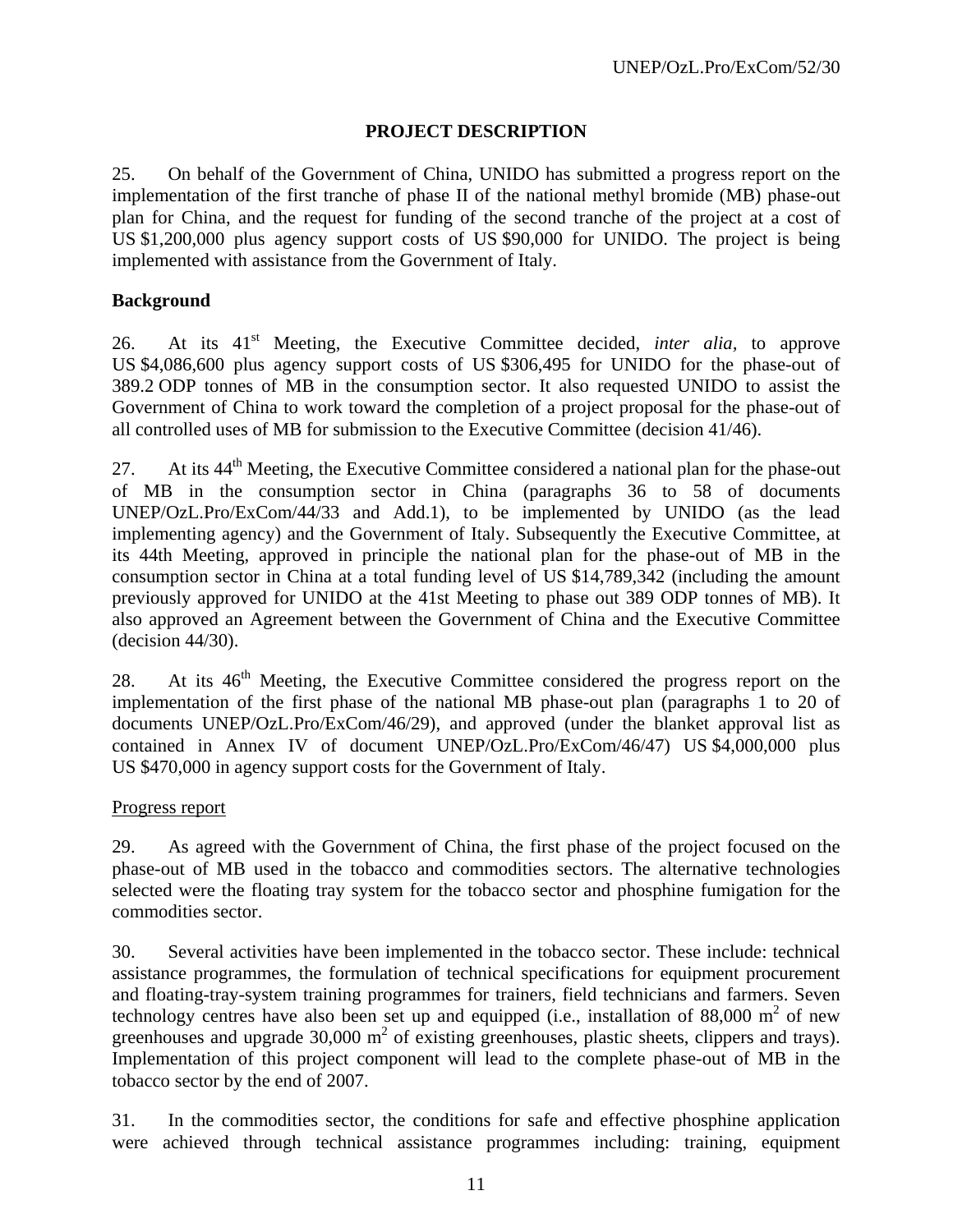## **PROJECT DESCRIPTION**

25. On behalf of the Government of China, UNIDO has submitted a progress report on the implementation of the first tranche of phase II of the national methyl bromide (MB) phase-out plan for China, and the request for funding of the second tranche of the project at a cost of US \$1,200,000 plus agency support costs of US \$90,000 for UNIDO. The project is being implemented with assistance from the Government of Italy.

## **Background**

26. At its 41st Meeting, the Executive Committee decided, *inter alia,* to approve US \$4,086,600 plus agency support costs of US \$306,495 for UNIDO for the phase-out of 389.2 ODP tonnes of MB in the consumption sector. It also requested UNIDO to assist the Government of China to work toward the completion of a project proposal for the phase-out of all controlled uses of MB for submission to the Executive Committee (decision 41/46).

27. At its  $44<sup>th</sup>$  Meeting, the Executive Committee considered a national plan for the phase-out of MB in the consumption sector in China (paragraphs 36 to 58 of documents UNEP/OzL.Pro/ExCom/44/33 and Add.1), to be implemented by UNIDO (as the lead implementing agency) and the Government of Italy. Subsequently the Executive Committee, at its 44th Meeting, approved in principle the national plan for the phase-out of MB in the consumption sector in China at a total funding level of US \$14,789,342 (including the amount previously approved for UNIDO at the 41st Meeting to phase out 389 ODP tonnes of MB). It also approved an Agreement between the Government of China and the Executive Committee (decision 44/30).

28. At its 46<sup>th</sup> Meeting, the Executive Committee considered the progress report on the implementation of the first phase of the national MB phase-out plan (paragraphs 1 to 20 of documents UNEP/OzL.Pro/ExCom/46/29), and approved (under the blanket approval list as contained in Annex IV of document UNEP/OzL.Pro/ExCom/46/47) US \$4,000,000 plus US \$470,000 in agency support costs for the Government of Italy.

## Progress report

29. As agreed with the Government of China, the first phase of the project focused on the phase-out of MB used in the tobacco and commodities sectors. The alternative technologies selected were the floating tray system for the tobacco sector and phosphine fumigation for the commodities sector.

30. Several activities have been implemented in the tobacco sector. These include: technical assistance programmes, the formulation of technical specifications for equipment procurement and floating-tray-system training programmes for trainers, field technicians and farmers. Seven technology centres have also been set up and equipped (i.e., installation of  $88,000 \text{ m}^2$  of new greenhouses and upgrade  $30,000 \text{ m}^2$  of existing greenhouses, plastic sheets, clippers and trays). Implementation of this project component will lead to the complete phase-out of MB in the tobacco sector by the end of 2007.

31. In the commodities sector, the conditions for safe and effective phosphine application were achieved through technical assistance programmes including: training, equipment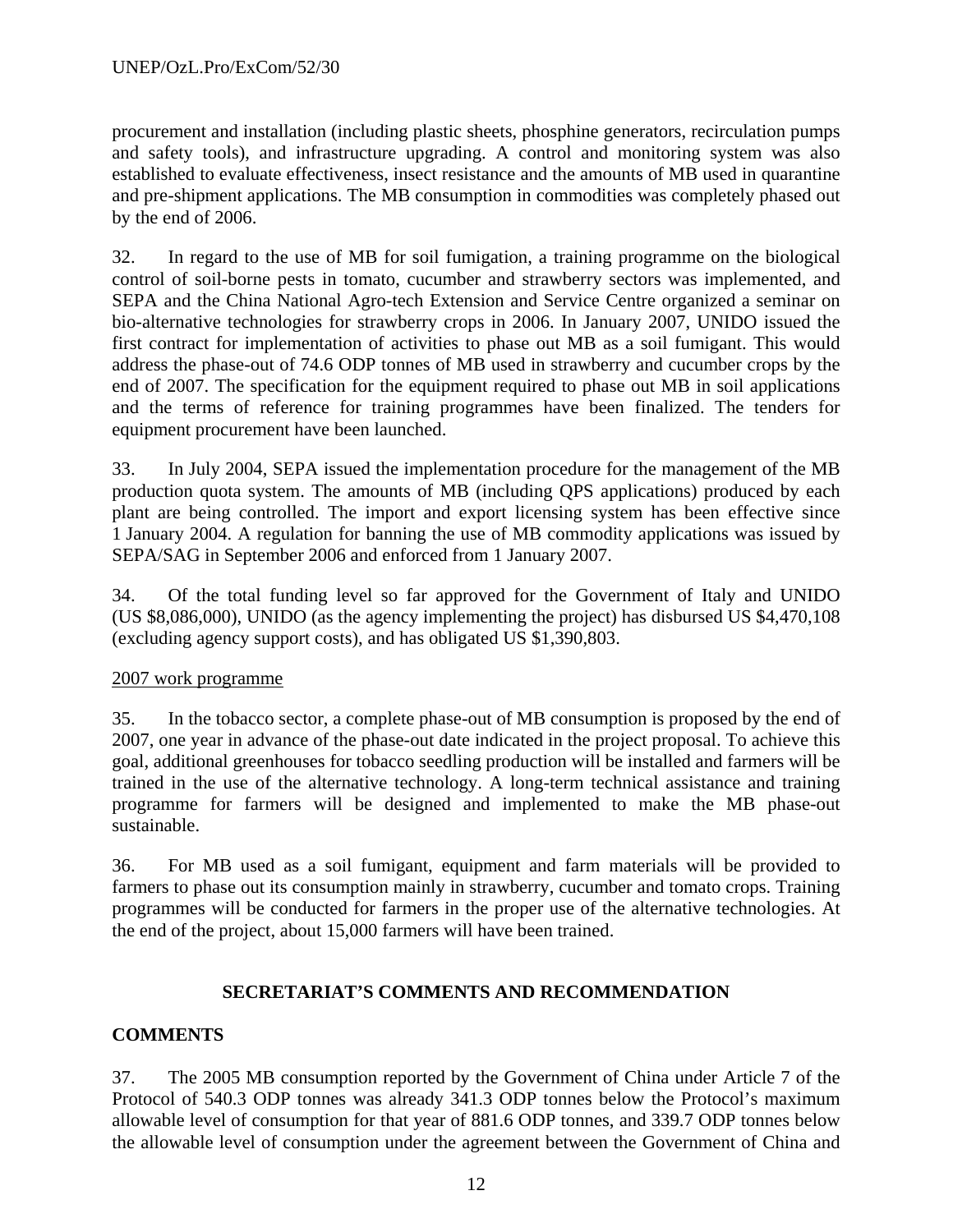procurement and installation (including plastic sheets, phosphine generators, recirculation pumps and safety tools), and infrastructure upgrading. A control and monitoring system was also established to evaluate effectiveness, insect resistance and the amounts of MB used in quarantine and pre-shipment applications. The MB consumption in commodities was completely phased out by the end of 2006.

32. In regard to the use of MB for soil fumigation, a training programme on the biological control of soil-borne pests in tomato, cucumber and strawberry sectors was implemented, and SEPA and the China National Agro-tech Extension and Service Centre organized a seminar on bio-alternative technologies for strawberry crops in 2006. In January 2007, UNIDO issued the first contract for implementation of activities to phase out MB as a soil fumigant. This would address the phase-out of 74.6 ODP tonnes of MB used in strawberry and cucumber crops by the end of 2007. The specification for the equipment required to phase out MB in soil applications and the terms of reference for training programmes have been finalized. The tenders for equipment procurement have been launched.

33. In July 2004, SEPA issued the implementation procedure for the management of the MB production quota system. The amounts of MB (including QPS applications) produced by each plant are being controlled. The import and export licensing system has been effective since 1 January 2004. A regulation for banning the use of MB commodity applications was issued by SEPA/SAG in September 2006 and enforced from 1 January 2007.

34. Of the total funding level so far approved for the Government of Italy and UNIDO (US \$8,086,000), UNIDO (as the agency implementing the project) has disbursed US \$4,470,108 (excluding agency support costs), and has obligated US \$1,390,803.

## 2007 work programme

35. In the tobacco sector, a complete phase-out of MB consumption is proposed by the end of 2007, one year in advance of the phase-out date indicated in the project proposal. To achieve this goal, additional greenhouses for tobacco seedling production will be installed and farmers will be trained in the use of the alternative technology. A long-term technical assistance and training programme for farmers will be designed and implemented to make the MB phase-out sustainable.

36. For MB used as a soil fumigant, equipment and farm materials will be provided to farmers to phase out its consumption mainly in strawberry, cucumber and tomato crops. Training programmes will be conducted for farmers in the proper use of the alternative technologies. At the end of the project, about 15,000 farmers will have been trained.

## **SECRETARIAT'S COMMENTS AND RECOMMENDATION**

# **COMMENTS**

37. The 2005 MB consumption reported by the Government of China under Article 7 of the Protocol of 540.3 ODP tonnes was already 341.3 ODP tonnes below the Protocol's maximum allowable level of consumption for that year of 881.6 ODP tonnes, and 339.7 ODP tonnes below the allowable level of consumption under the agreement between the Government of China and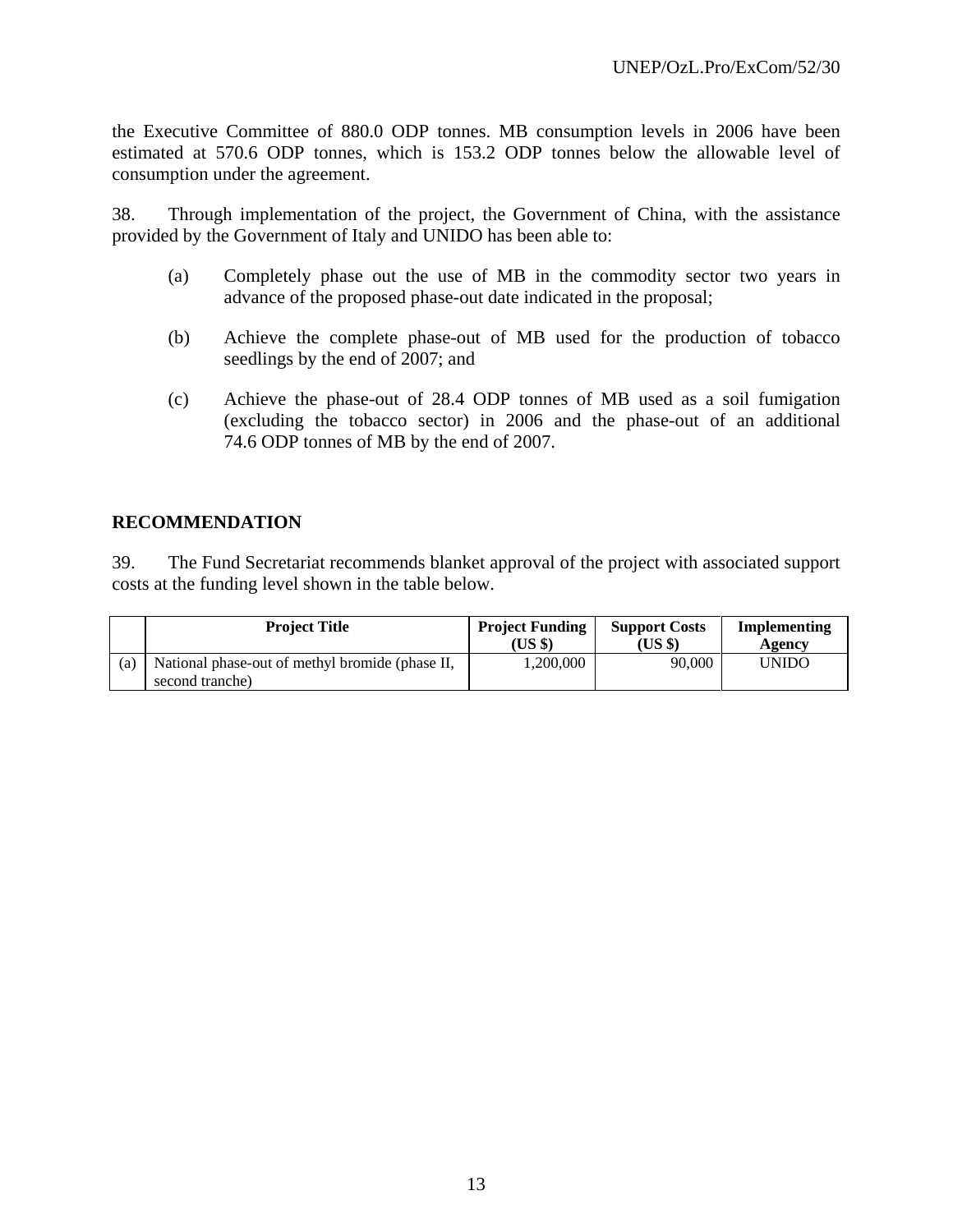the Executive Committee of 880.0 ODP tonnes. MB consumption levels in 2006 have been estimated at 570.6 ODP tonnes, which is 153.2 ODP tonnes below the allowable level of consumption under the agreement.

38. Through implementation of the project, the Government of China, with the assistance provided by the Government of Italy and UNIDO has been able to:

- (a) Completely phase out the use of MB in the commodity sector two years in advance of the proposed phase-out date indicated in the proposal;
- (b) Achieve the complete phase-out of MB used for the production of tobacco seedlings by the end of 2007; and
- (c) Achieve the phase-out of 28.4 ODP tonnes of MB used as a soil fumigation (excluding the tobacco sector) in 2006 and the phase-out of an additional 74.6 ODP tonnes of MB by the end of 2007.

## **RECOMMENDATION**

39. The Fund Secretariat recommends blanket approval of the project with associated support costs at the funding level shown in the table below.

|     | <b>Project Title</b>                                               | <b>Project Funding</b><br>(US \$) | <b>Support Costs</b><br>(US \$) | Implementing<br>Agency |
|-----|--------------------------------------------------------------------|-----------------------------------|---------------------------------|------------------------|
| (a) | National phase-out of methyl bromide (phase II,<br>second tranche) | 1,200,000                         | 90,000                          | <b>UNIDO</b>           |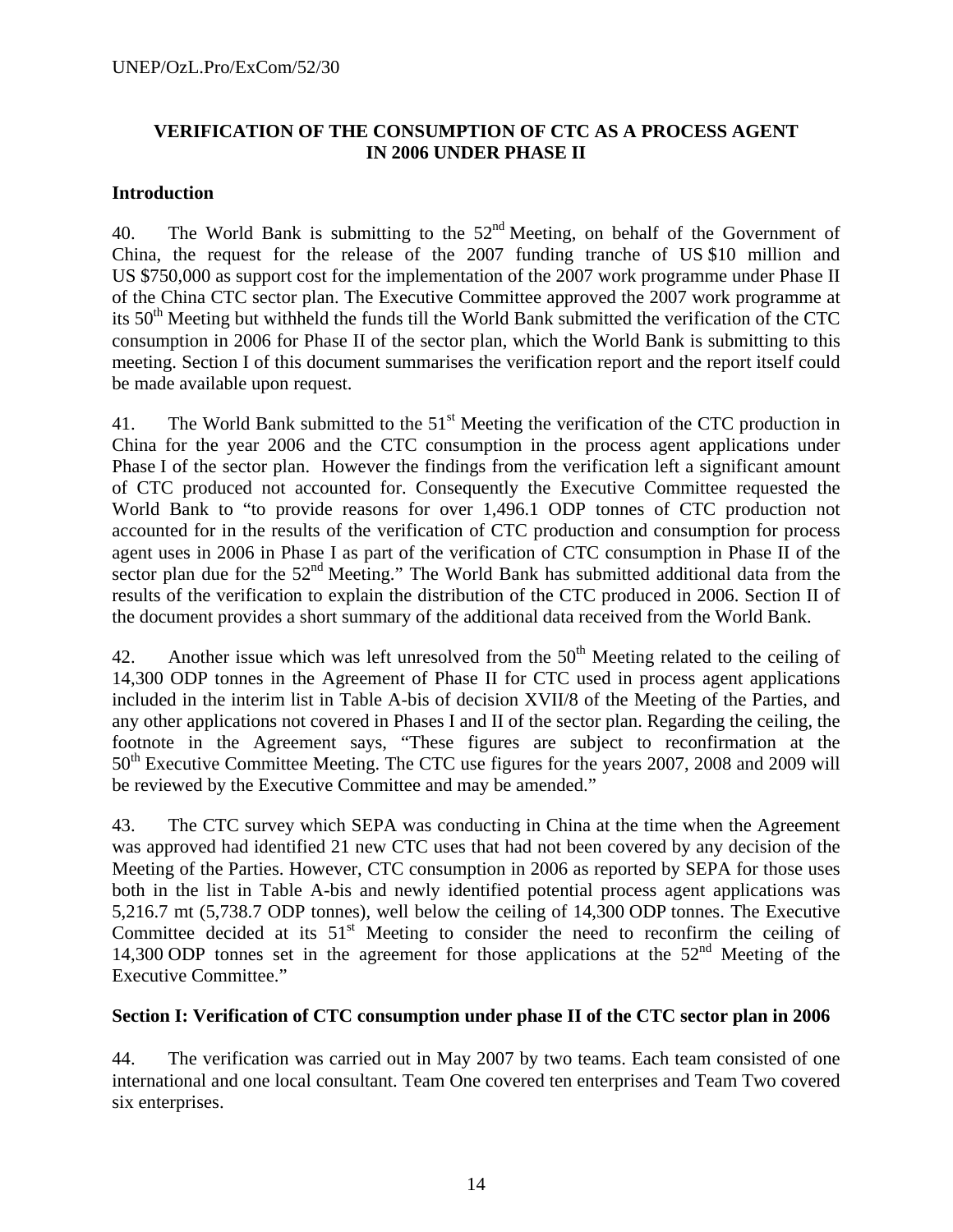## **VERIFICATION OF THE CONSUMPTION OF CTC AS A PROCESS AGENT IN 2006 UNDER PHASE II**

## **Introduction**

40. The World Bank is submitting to the  $52<sup>nd</sup>$  Meeting, on behalf of the Government of China, the request for the release of the 2007 funding tranche of US \$10 million and US \$750,000 as support cost for the implementation of the 2007 work programme under Phase II of the China CTC sector plan. The Executive Committee approved the 2007 work programme at its  $50<sup>th</sup>$  Meeting but withheld the funds till the World Bank submitted the verification of the CTC consumption in 2006 for Phase II of the sector plan, which the World Bank is submitting to this meeting. Section I of this document summarises the verification report and the report itself could be made available upon request.

41. The World Bank submitted to the  $51<sup>st</sup>$  Meeting the verification of the CTC production in China for the year 2006 and the CTC consumption in the process agent applications under Phase I of the sector plan. However the findings from the verification left a significant amount of CTC produced not accounted for. Consequently the Executive Committee requested the World Bank to "to provide reasons for over 1,496.1 ODP tonnes of CTC production not accounted for in the results of the verification of CTC production and consumption for process agent uses in 2006 in Phase I as part of the verification of CTC consumption in Phase II of the sector plan due for the 52<sup>nd</sup> Meeting." The World Bank has submitted additional data from the results of the verification to explain the distribution of the CTC produced in 2006. Section II of the document provides a short summary of the additional data received from the World Bank.

42. Another issue which was left unresolved from the  $50<sup>th</sup>$  Meeting related to the ceiling of 14,300 ODP tonnes in the Agreement of Phase II for CTC used in process agent applications included in the interim list in Table A-bis of decision XVII/8 of the Meeting of the Parties, and any other applications not covered in Phases I and II of the sector plan. Regarding the ceiling, the footnote in the Agreement says, "These figures are subject to reconfirmation at the 50<sup>th</sup> Executive Committee Meeting. The CTC use figures for the years 2007, 2008 and 2009 will be reviewed by the Executive Committee and may be amended."

43. The CTC survey which SEPA was conducting in China at the time when the Agreement was approved had identified 21 new CTC uses that had not been covered by any decision of the Meeting of the Parties. However, CTC consumption in 2006 as reported by SEPA for those uses both in the list in Table A-bis and newly identified potential process agent applications was 5,216.7 mt (5,738.7 ODP tonnes), well below the ceiling of 14,300 ODP tonnes. The Executive Committee decided at its  $51<sup>st</sup>$  Meeting to consider the need to reconfirm the ceiling of 14,300 ODP tonnes set in the agreement for those applications at the  $52<sup>nd</sup>$  Meeting of the Executive Committee."

## **Section I: Verification of CTC consumption under phase II of the CTC sector plan in 2006**

44. The verification was carried out in May 2007 by two teams. Each team consisted of one international and one local consultant. Team One covered ten enterprises and Team Two covered six enterprises.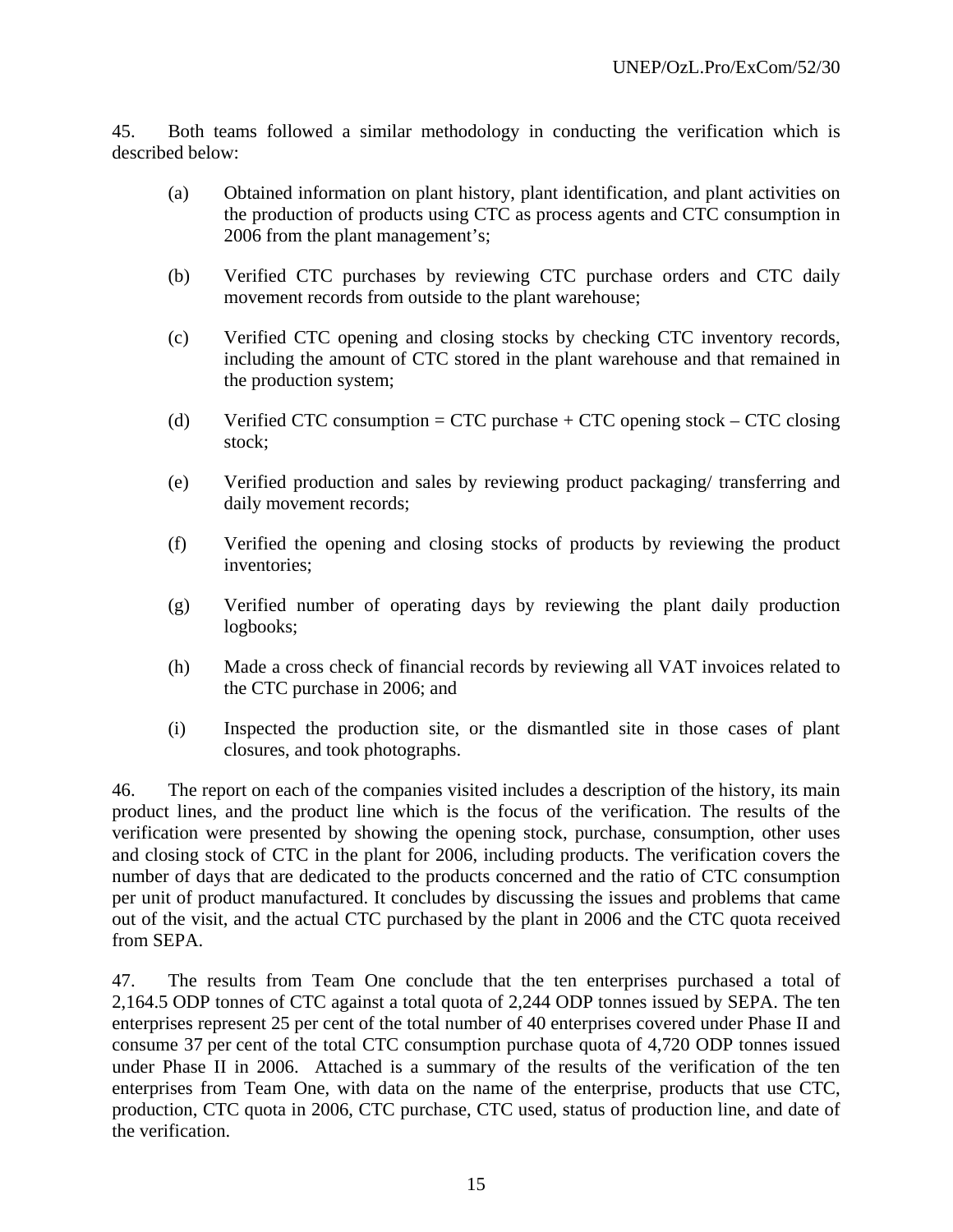45. Both teams followed a similar methodology in conducting the verification which is described below:

- (a) Obtained information on plant history, plant identification, and plant activities on the production of products using CTC as process agents and CTC consumption in 2006 from the plant management's;
- (b) Verified CTC purchases by reviewing CTC purchase orders and CTC daily movement records from outside to the plant warehouse;
- (c) Verified CTC opening and closing stocks by checking CTC inventory records, including the amount of CTC stored in the plant warehouse and that remained in the production system;
- (d) Verified CTC consumption = CTC purchase + CTC opening stock CTC closing stock;
- (e) Verified production and sales by reviewing product packaging/ transferring and daily movement records;
- (f) Verified the opening and closing stocks of products by reviewing the product inventories;
- (g) Verified number of operating days by reviewing the plant daily production logbooks;
- (h) Made a cross check of financial records by reviewing all VAT invoices related to the CTC purchase in 2006; and
- (i) Inspected the production site, or the dismantled site in those cases of plant closures, and took photographs.

46. The report on each of the companies visited includes a description of the history, its main product lines, and the product line which is the focus of the verification. The results of the verification were presented by showing the opening stock, purchase, consumption, other uses and closing stock of CTC in the plant for 2006, including products. The verification covers the number of days that are dedicated to the products concerned and the ratio of CTC consumption per unit of product manufactured. It concludes by discussing the issues and problems that came out of the visit, and the actual CTC purchased by the plant in 2006 and the CTC quota received from SEPA.

47. The results from Team One conclude that the ten enterprises purchased a total of 2,164.5 ODP tonnes of CTC against a total quota of 2,244 ODP tonnes issued by SEPA. The ten enterprises represent 25 per cent of the total number of 40 enterprises covered under Phase II and consume 37 per cent of the total CTC consumption purchase quota of 4,720 ODP tonnes issued under Phase II in 2006. Attached is a summary of the results of the verification of the ten enterprises from Team One, with data on the name of the enterprise, products that use CTC, production, CTC quota in 2006, CTC purchase, CTC used, status of production line, and date of the verification.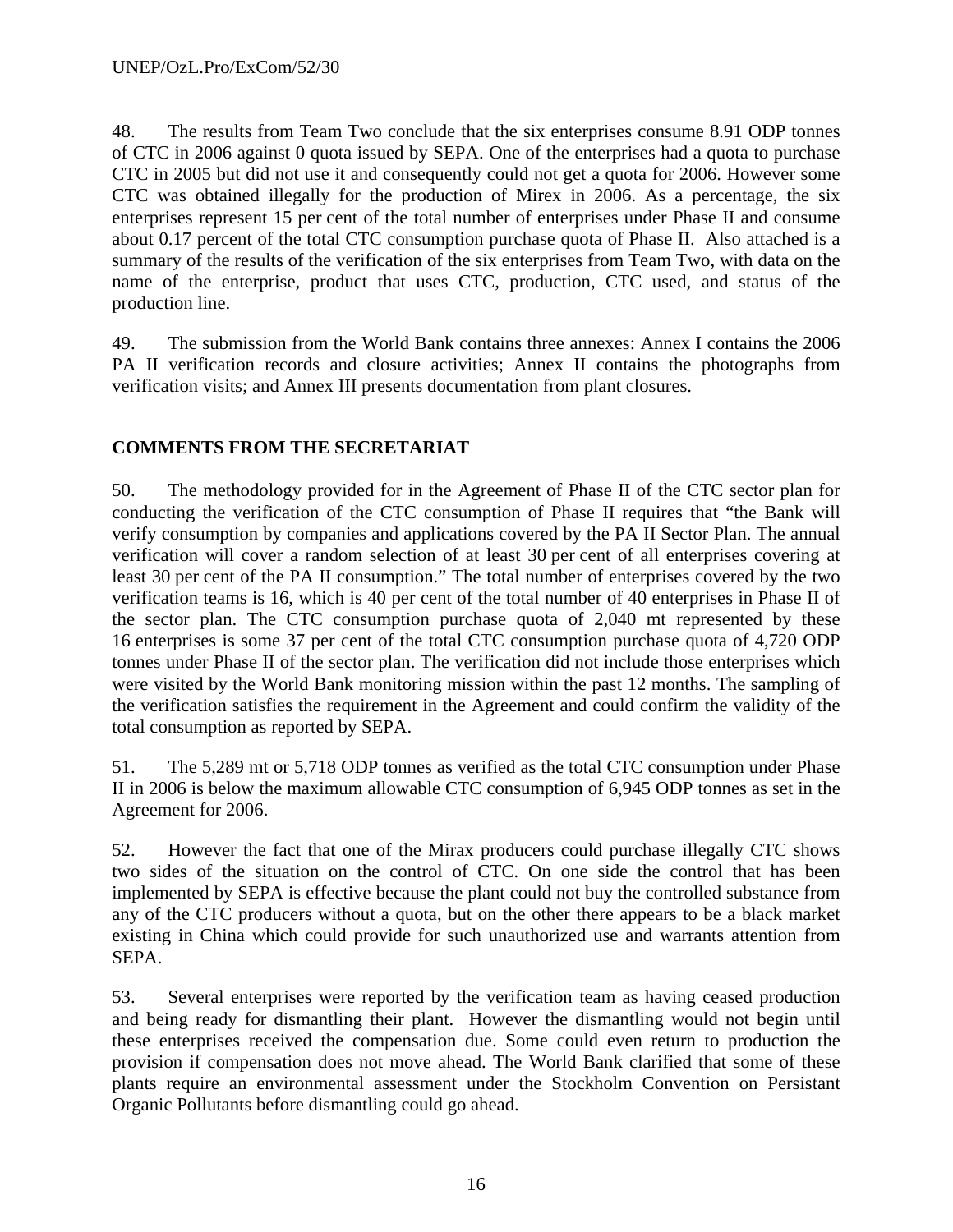48. The results from Team Two conclude that the six enterprises consume 8.91 ODP tonnes of CTC in 2006 against 0 quota issued by SEPA. One of the enterprises had a quota to purchase CTC in 2005 but did not use it and consequently could not get a quota for 2006. However some CTC was obtained illegally for the production of Mirex in 2006. As a percentage, the six enterprises represent 15 per cent of the total number of enterprises under Phase II and consume about 0.17 percent of the total CTC consumption purchase quota of Phase II. Also attached is a summary of the results of the verification of the six enterprises from Team Two, with data on the name of the enterprise, product that uses CTC, production, CTC used, and status of the production line.

49. The submission from the World Bank contains three annexes: Annex I contains the 2006 PA II verification records and closure activities; Annex II contains the photographs from verification visits; and Annex III presents documentation from plant closures.

## **COMMENTS FROM THE SECRETARIAT**

50. The methodology provided for in the Agreement of Phase II of the CTC sector plan for conducting the verification of the CTC consumption of Phase II requires that "the Bank will verify consumption by companies and applications covered by the PA II Sector Plan. The annual verification will cover a random selection of at least 30 per cent of all enterprises covering at least 30 per cent of the PA II consumption." The total number of enterprises covered by the two verification teams is 16, which is 40 per cent of the total number of 40 enterprises in Phase II of the sector plan. The CTC consumption purchase quota of 2,040 mt represented by these 16 enterprises is some 37 per cent of the total CTC consumption purchase quota of 4,720 ODP tonnes under Phase II of the sector plan. The verification did not include those enterprises which were visited by the World Bank monitoring mission within the past 12 months. The sampling of the verification satisfies the requirement in the Agreement and could confirm the validity of the total consumption as reported by SEPA.

51. The 5,289 mt or 5,718 ODP tonnes as verified as the total CTC consumption under Phase II in 2006 is below the maximum allowable CTC consumption of 6,945 ODP tonnes as set in the Agreement for 2006.

52. However the fact that one of the Mirax producers could purchase illegally CTC shows two sides of the situation on the control of CTC. On one side the control that has been implemented by SEPA is effective because the plant could not buy the controlled substance from any of the CTC producers without a quota, but on the other there appears to be a black market existing in China which could provide for such unauthorized use and warrants attention from SEPA.

53. Several enterprises were reported by the verification team as having ceased production and being ready for dismantling their plant. However the dismantling would not begin until these enterprises received the compensation due. Some could even return to production the provision if compensation does not move ahead. The World Bank clarified that some of these plants require an environmental assessment under the Stockholm Convention on Persistant Organic Pollutants before dismantling could go ahead.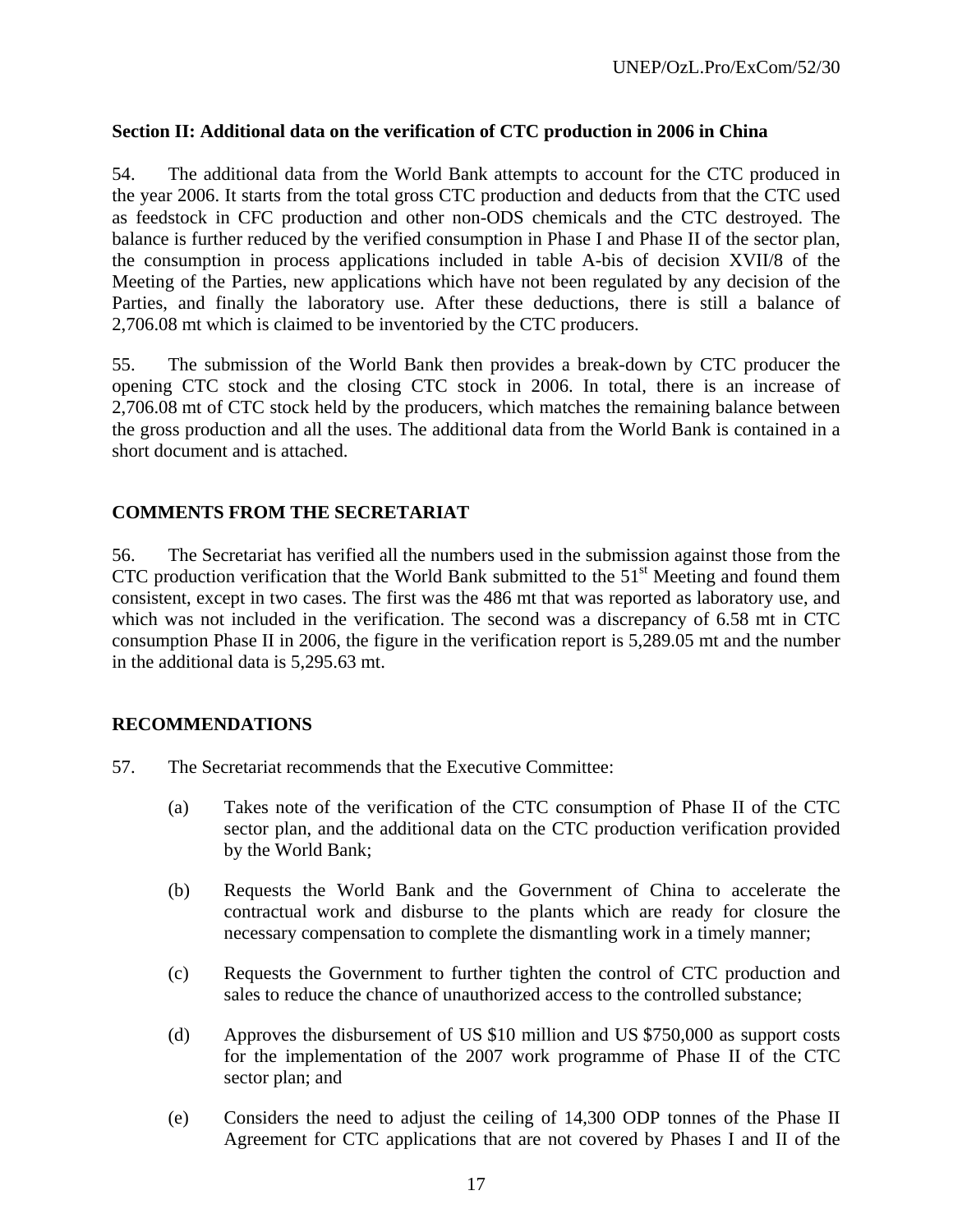## **Section II: Additional data on the verification of CTC production in 2006 in China**

54. The additional data from the World Bank attempts to account for the CTC produced in the year 2006. It starts from the total gross CTC production and deducts from that the CTC used as feedstock in CFC production and other non-ODS chemicals and the CTC destroyed. The balance is further reduced by the verified consumption in Phase I and Phase II of the sector plan, the consumption in process applications included in table A-bis of decision XVII/8 of the Meeting of the Parties, new applications which have not been regulated by any decision of the Parties, and finally the laboratory use. After these deductions, there is still a balance of 2,706.08 mt which is claimed to be inventoried by the CTC producers.

55. The submission of the World Bank then provides a break-down by CTC producer the opening CTC stock and the closing CTC stock in 2006. In total, there is an increase of 2,706.08 mt of CTC stock held by the producers, which matches the remaining balance between the gross production and all the uses. The additional data from the World Bank is contained in a short document and is attached.

## **COMMENTS FROM THE SECRETARIAT**

56. The Secretariat has verified all the numbers used in the submission against those from the CTC production verification that the World Bank submitted to the  $51<sup>st</sup>$  Meeting and found them consistent, except in two cases. The first was the 486 mt that was reported as laboratory use, and which was not included in the verification. The second was a discrepancy of 6.58 mt in CTC consumption Phase II in 2006, the figure in the verification report is 5,289.05 mt and the number in the additional data is 5,295.63 mt.

## **RECOMMENDATIONS**

- 57. The Secretariat recommends that the Executive Committee:
	- (a) Takes note of the verification of the CTC consumption of Phase II of the CTC sector plan, and the additional data on the CTC production verification provided by the World Bank;
	- (b) Requests the World Bank and the Government of China to accelerate the contractual work and disburse to the plants which are ready for closure the necessary compensation to complete the dismantling work in a timely manner;
	- (c) Requests the Government to further tighten the control of CTC production and sales to reduce the chance of unauthorized access to the controlled substance;
	- (d) Approves the disbursement of US \$10 million and US \$750,000 as support costs for the implementation of the 2007 work programme of Phase II of the CTC sector plan; and
	- (e) Considers the need to adjust the ceiling of 14,300 ODP tonnes of the Phase II Agreement for CTC applications that are not covered by Phases I and II of the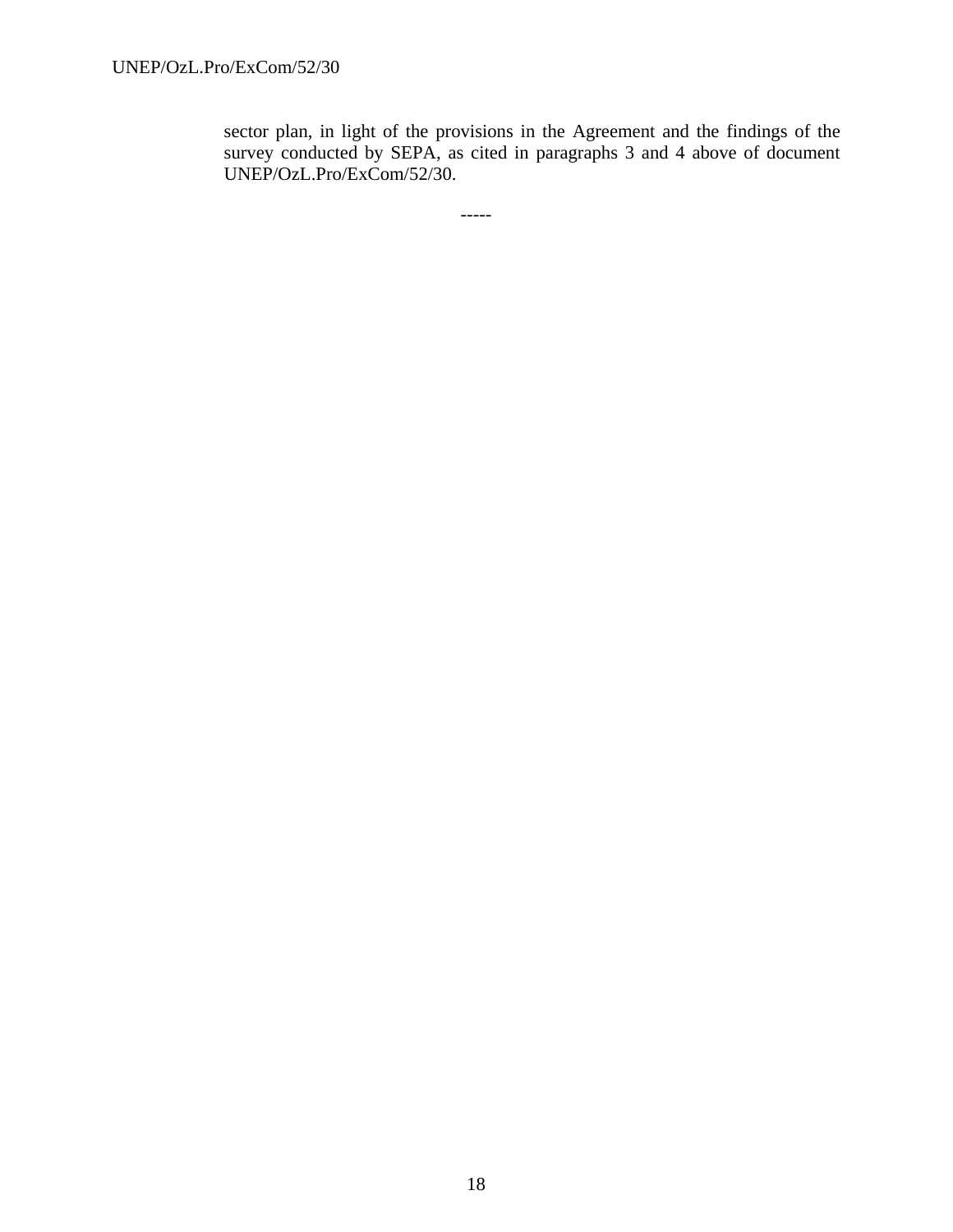sector plan, in light of the provisions in the Agreement and the findings of the survey conducted by SEPA, as cited in paragraphs 3 and 4 above of document UNEP/OzL.Pro/ExCom/52/30.

-----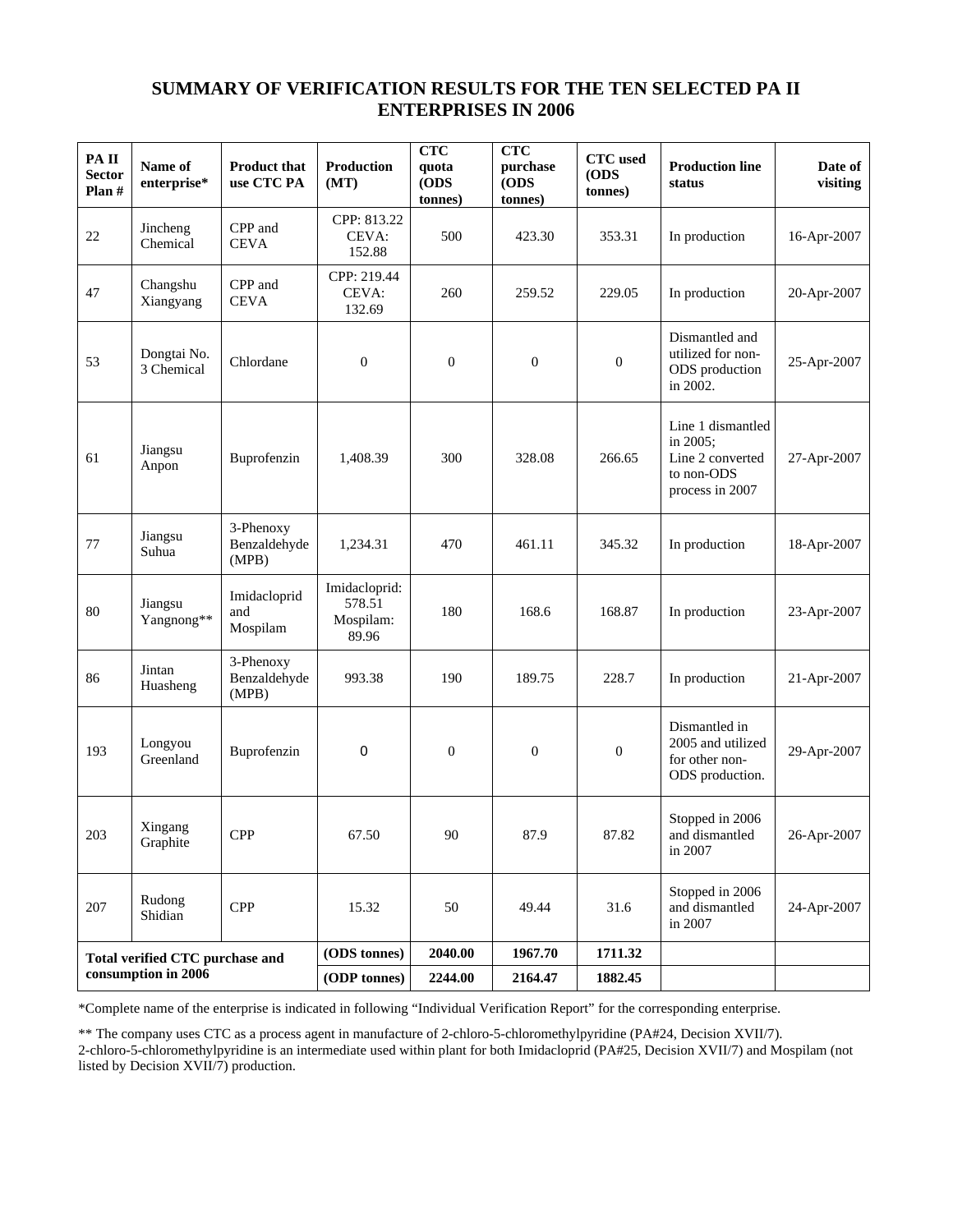## **SUMMARY OF VERIFICATION RESULTS FOR THE TEN SELECTED PA II ENTERPRISES IN 2006**

| PAII<br><b>Sector</b><br>Plan # | Name of<br>enterprise*          | <b>Product that</b><br>use CTC PA  | <b>Production</b><br>(MT)                     | <b>CTC</b><br>quota<br>(ODS<br>tonnes) | <b>CTC</b><br>purchase<br>(ODS<br>tonnes) | <b>CTC</b> used<br>(ODS)<br>tonnes) | <b>Production line</b><br>status                                                   | Date of<br>visiting |
|---------------------------------|---------------------------------|------------------------------------|-----------------------------------------------|----------------------------------------|-------------------------------------------|-------------------------------------|------------------------------------------------------------------------------------|---------------------|
| 22                              | Jincheng<br>Chemical            | CPP and<br><b>CEVA</b>             | CPP: 813.22<br>CEVA:<br>152.88                | 500                                    | 423.30                                    | 353.31                              | In production                                                                      | 16-Apr-2007         |
| 47                              | Changshu<br>Xiangyang           | CPP and<br><b>CEVA</b>             | CPP: 219.44<br>CEVA:<br>132.69                | 260                                    | 259.52                                    | 229.05                              | In production                                                                      | 20-Apr-2007         |
| 53                              | Dongtai No.<br>3 Chemical       | Chlordane                          | $\boldsymbol{0}$                              | $\boldsymbol{0}$                       | $\theta$                                  | $\boldsymbol{0}$                    | Dismantled and<br>utilized for non-<br>ODS production<br>in 2002.                  | 25-Apr-2007         |
| 61                              | Jiangsu<br>Anpon                | Buprofenzin                        | 1,408.39                                      | 300                                    | 328.08                                    | 266.65                              | Line 1 dismantled<br>in 2005;<br>Line 2 converted<br>to non-ODS<br>process in 2007 | 27-Apr-2007         |
| 77                              | Jiangsu<br>Suhua                | 3-Phenoxy<br>Benzaldehyde<br>(MPB) | 1,234.31                                      | 470                                    | 461.11                                    | 345.32                              | In production                                                                      | 18-Apr-2007         |
| 80                              | Jiangsu<br>Yangnong**           | Imidacloprid<br>and<br>Mospilam    | Imidacloprid:<br>578.51<br>Mospilam:<br>89.96 | 180                                    | 168.6                                     | 168.87                              | In production                                                                      | 23-Apr-2007         |
| 86                              | Jintan<br>Huasheng              | 3-Phenoxy<br>Benzaldehyde<br>(MPB) | 993.38                                        | 190                                    | 189.75                                    | 228.7                               | In production                                                                      | 21-Apr-2007         |
| 193                             | Longyou<br>Greenland            | Buprofenzin                        | 0                                             | $\boldsymbol{0}$                       | $\boldsymbol{0}$                          | $\boldsymbol{0}$                    | Dismantled in<br>2005 and utilized<br>for other non-<br>ODS production.            | 29-Apr-2007         |
| $203\,$                         | Xingang<br>Graphite             | <b>CPP</b>                         | 67.50                                         | $90\,$                                 | 87.9                                      | 87.82                               | Stopped in 2006<br>and dismantled<br>in 2007                                       | 26-Apr-2007         |
| 207                             | Rudong<br>Shidian               | <b>CPP</b>                         | 15.32                                         | 50                                     | 49.44                                     | 31.6                                | Stopped in 2006<br>and dismantled<br>in 2007                                       | 24-Apr-2007         |
|                                 | Total verified CTC purchase and |                                    | (ODS tonnes)                                  | 2040.00                                | 1967.70                                   | 1711.32                             |                                                                                    |                     |
|                                 | consumption in 2006             |                                    | (ODP tonnes)                                  | 2244.00                                | 2164.47                                   | 1882.45                             |                                                                                    |                     |

\*Complete name of the enterprise is indicated in following "Individual Verification Report" for the corresponding enterprise.

\*\* The company uses CTC as a process agent in manufacture of 2-chloro-5-chloromethylpyridine (PA#24, Decision XVII/7).

2-chloro-5-chloromethylpyridine is an intermediate used within plant for both Imidacloprid (PA#25, Decision XVII/7) and Mospilam (not listed by Decision XVII/7) production.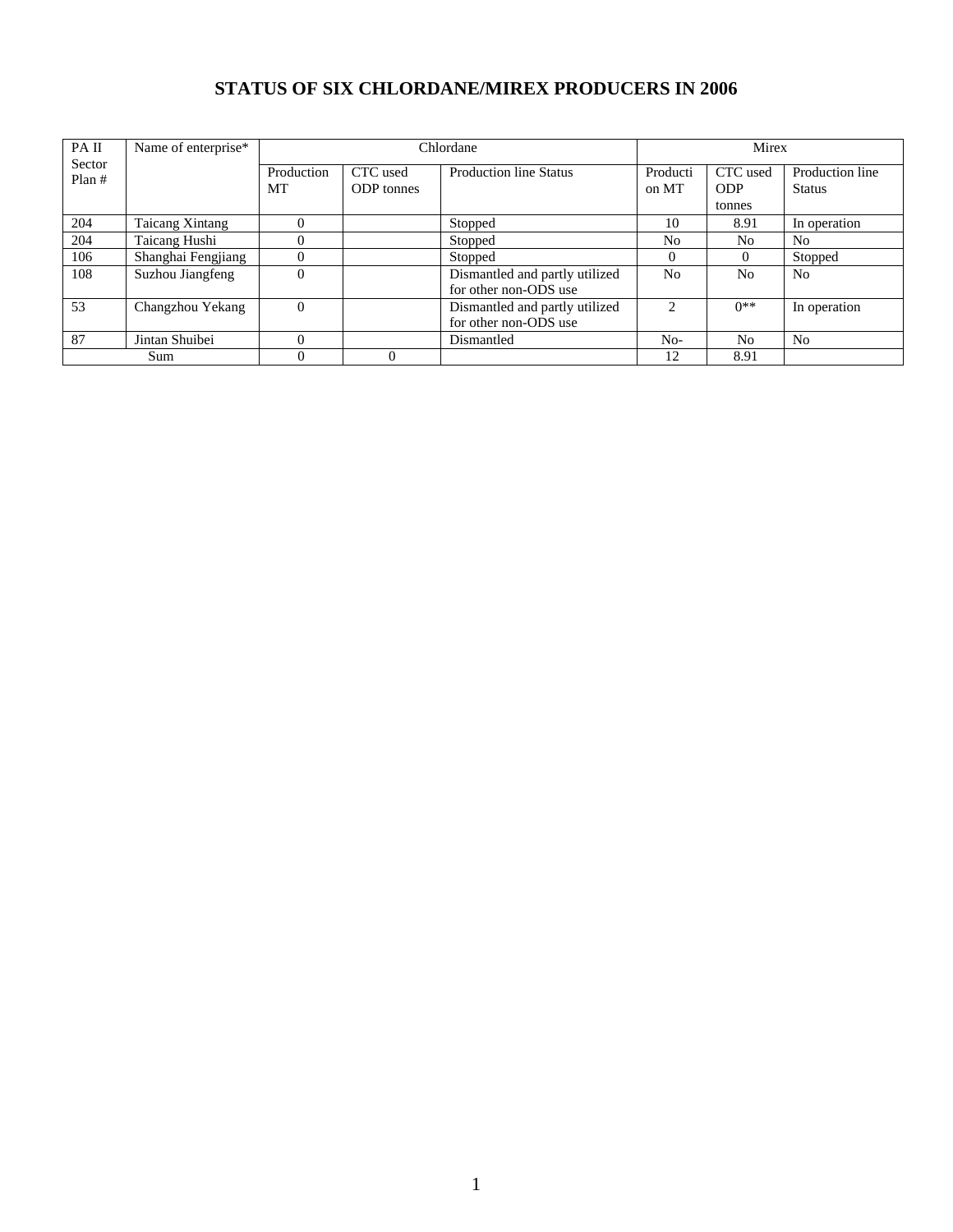# **STATUS OF SIX CHLORDANE/MIREX PRODUCERS IN 2006**

| PA II           | Name of enterprise*    |                  |                               | Chlordane                                               |                   | Mirex                            |                                  |
|-----------------|------------------------|------------------|-------------------------------|---------------------------------------------------------|-------------------|----------------------------------|----------------------------------|
| Sector<br>Plan# |                        | Production<br>MT | CTC used<br><b>ODP</b> tonnes | <b>Production line Status</b>                           | Producti<br>on MT | CTC used<br><b>ODP</b><br>tonnes | Production line<br><b>Status</b> |
| 204             | <b>Taicang Xintang</b> |                  |                               | Stopped                                                 | 10                | 8.91                             | In operation                     |
| 204             | Taicang Hushi          |                  |                               | Stopped                                                 | N <sub>0</sub>    | No.                              | N <sub>o</sub>                   |
| 106             | Shanghai Fengjiang     |                  |                               | Stopped                                                 | $\Omega$          | $\Omega$                         | Stopped                          |
| 108             | Suzhou Jiangfeng       |                  |                               | Dismantled and partly utilized<br>for other non-ODS use | N <sub>o</sub>    | N <sub>0</sub>                   | N <sub>0</sub>                   |
| 53              | Changzhou Yekang       | $\Omega$         |                               | Dismantled and partly utilized<br>for other non-ODS use | $\mathfrak{D}$    | $0**$                            | In operation                     |
| 87              | Jintan Shuibei         |                  |                               | Dismantled                                              | $No-$             | N <sub>0</sub>                   | N <sub>o</sub>                   |
|                 | Sum                    |                  |                               |                                                         | 12                | 8.91                             |                                  |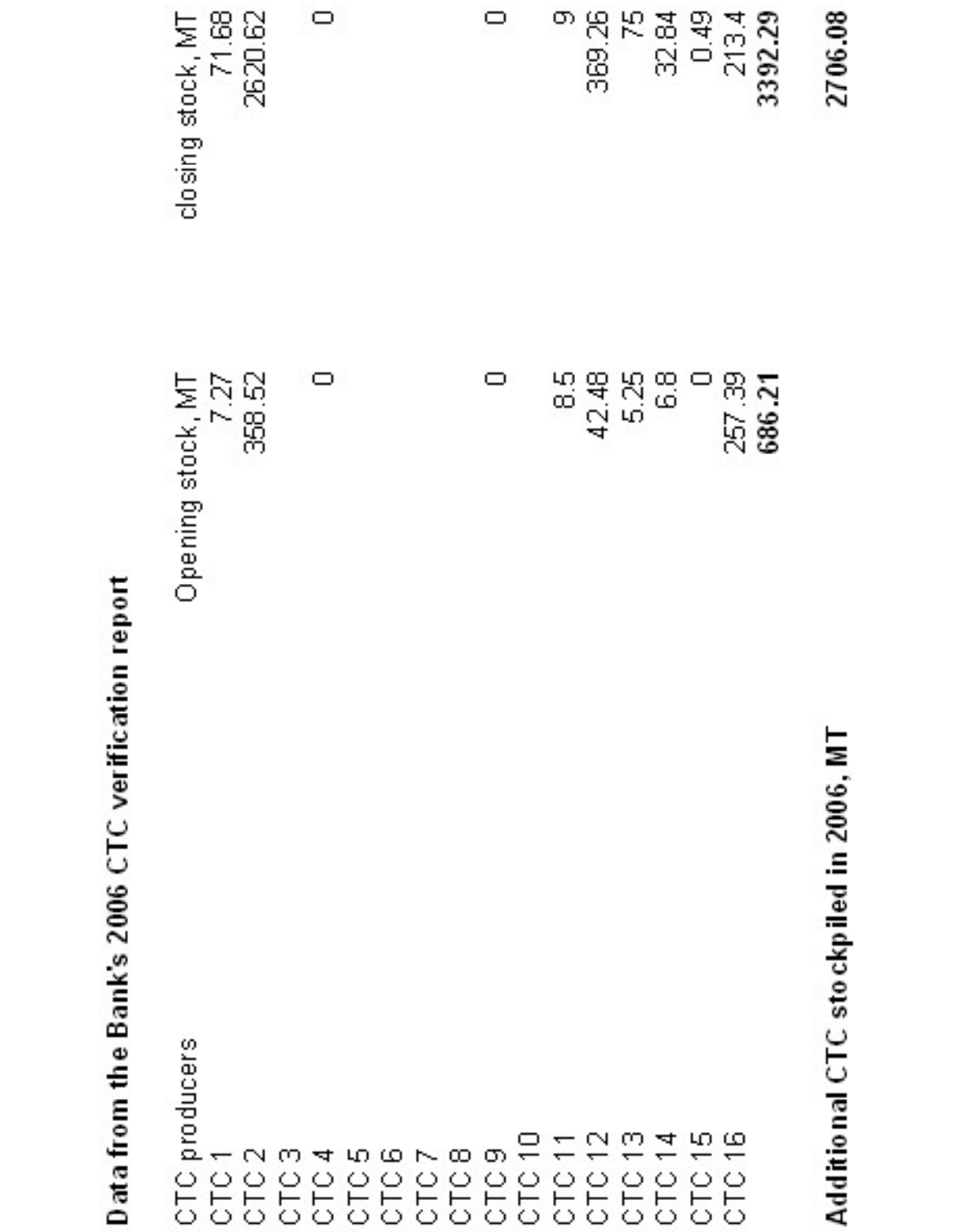| rion repor      |
|-----------------|
|                 |
| イントル            |
|                 |
|                 |
| $\frac{1}{2}$   |
|                 |
|                 |
|                 |
|                 |
|                 |
|                 |
| Bank's 2006 CTC |
|                 |
|                 |
|                 |
|                 |
|                 |
|                 |
|                 |
|                 |
|                 |
|                 |
| $\frac{1}{2}$   |
|                 |
|                 |
|                 |
|                 |
|                 |
|                 |
| ata Irom        |
|                 |
|                 |
|                 |
|                 |

| producers<br>$\bigcirc$<br>⊢<br>$\bigcirc$                    | Opening stock, MT |                            |
|---------------------------------------------------------------|-------------------|----------------------------|
| $\overline{\phantom{0}}$<br>$\bigcirc$<br>$\vdash$<br>$\circ$ | 7.27              | closing stock, MT<br>71.68 |
| $\Box$<br>$\bigcirc$<br>$\vdash$<br>$\bigcirc$                | 358.52            | 2620.62                    |
| ŪД.<br>$\circ$<br>$\vdash$<br>$\bigcirc$                      |                   |                            |
| ᅕ<br>$\cup$<br>$\vdash$                                       | $\Box$            | $\Box$                     |
| $\circ$<br>$\vdash$                                           |                   |                            |
| $\circ$<br>$\vdash$<br>$\circ \circ \circ$                    |                   |                            |
| ယေဇာလတ<br>$\circ$<br>$\vdash$<br>$\circ$                      |                   |                            |
| $\bigcirc$<br>$\vdash$                                        |                   |                            |
| $\sigma$<br>$\bigcirc$<br>$\vdash$                            | $\Box$            | ▭                          |
| $\overline{a}$<br>$\circlearrowright$<br>$\vdash$<br>$\circ$  |                   |                            |
| τ<br>$\vdash$                                                 | $\frac{40}{60}$   | ው                          |
| $\sim$ $\sim$<br>т<br>$\circ \circ$<br>$\vdash$<br>$\circ$    | 42.48             | $\mathbb{R}$<br>369.       |
| $\circ$<br>$\vdash$<br>$\circ$                                | 525<br>22         | 몬                          |
| $\omega$ at<br>$\circ$<br>۳<br>$\circ$                        | $\frac{8}{5}$     | 32.84                      |
| τ<br>$\vdash$                                                 |                   | 0.49                       |
| மம<br>┯<br>$\circ$<br>╺┝╾<br>$\circ$                          | 257.39            | 2134                       |
|                                                               | ζ.<br>686         | 3392.29                    |
| z<br>2006<br>Ξ<br>stockpiled<br>ر)<br>5<br>Additiona          |                   | 2706.08                    |

Additional CTC stockpiled in 2006, MT